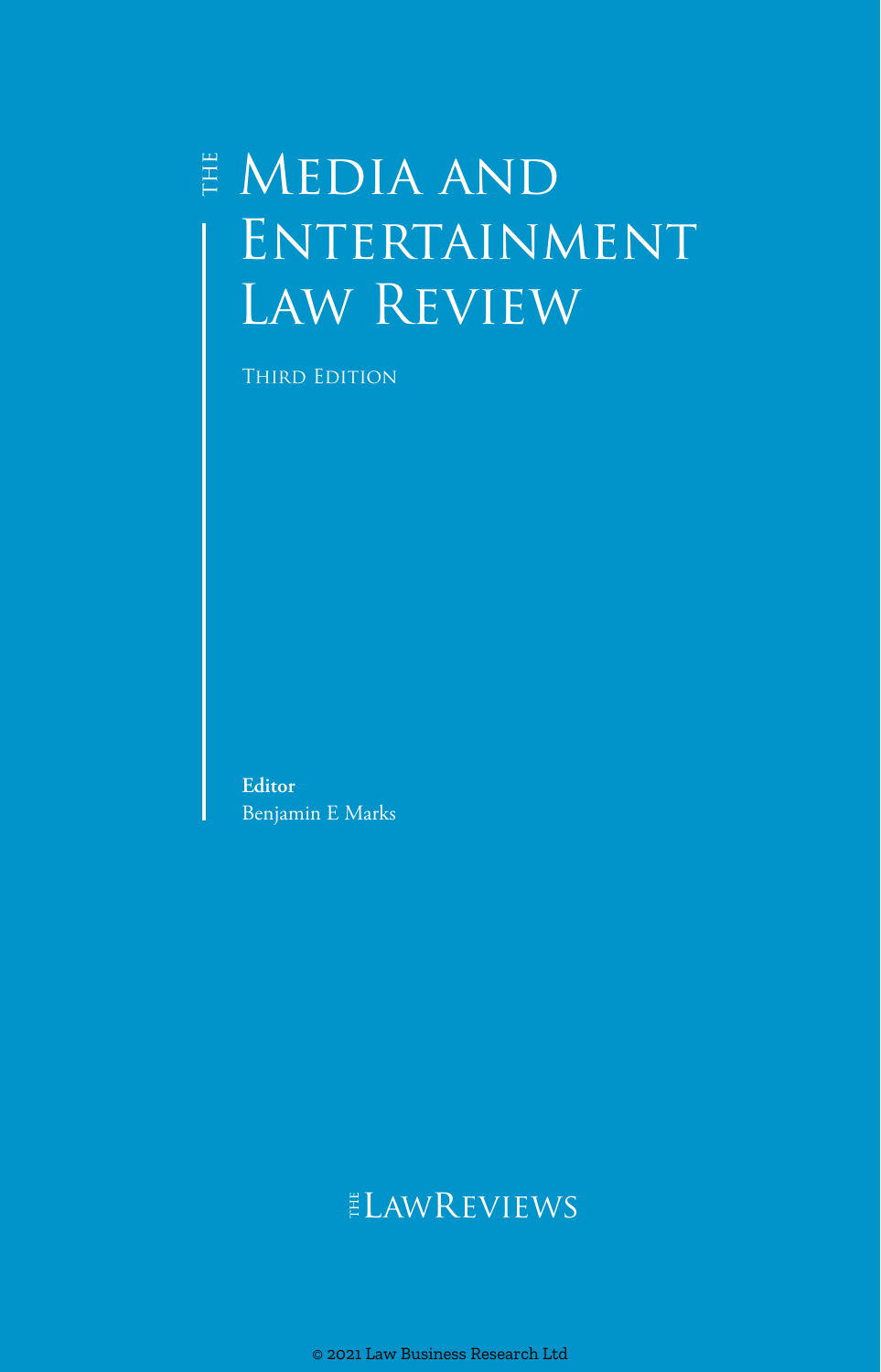## $\overset{\scriptscriptstyle\mathrm{H}}{\mathsf{E}}$  MEDIA AND ENTERTAINMENT Law Review

**THIRD EDITION** 

**Editor** Benjamin E Marks

## **ELAWREVIEWS**

© 2021 Law Business Research Ltd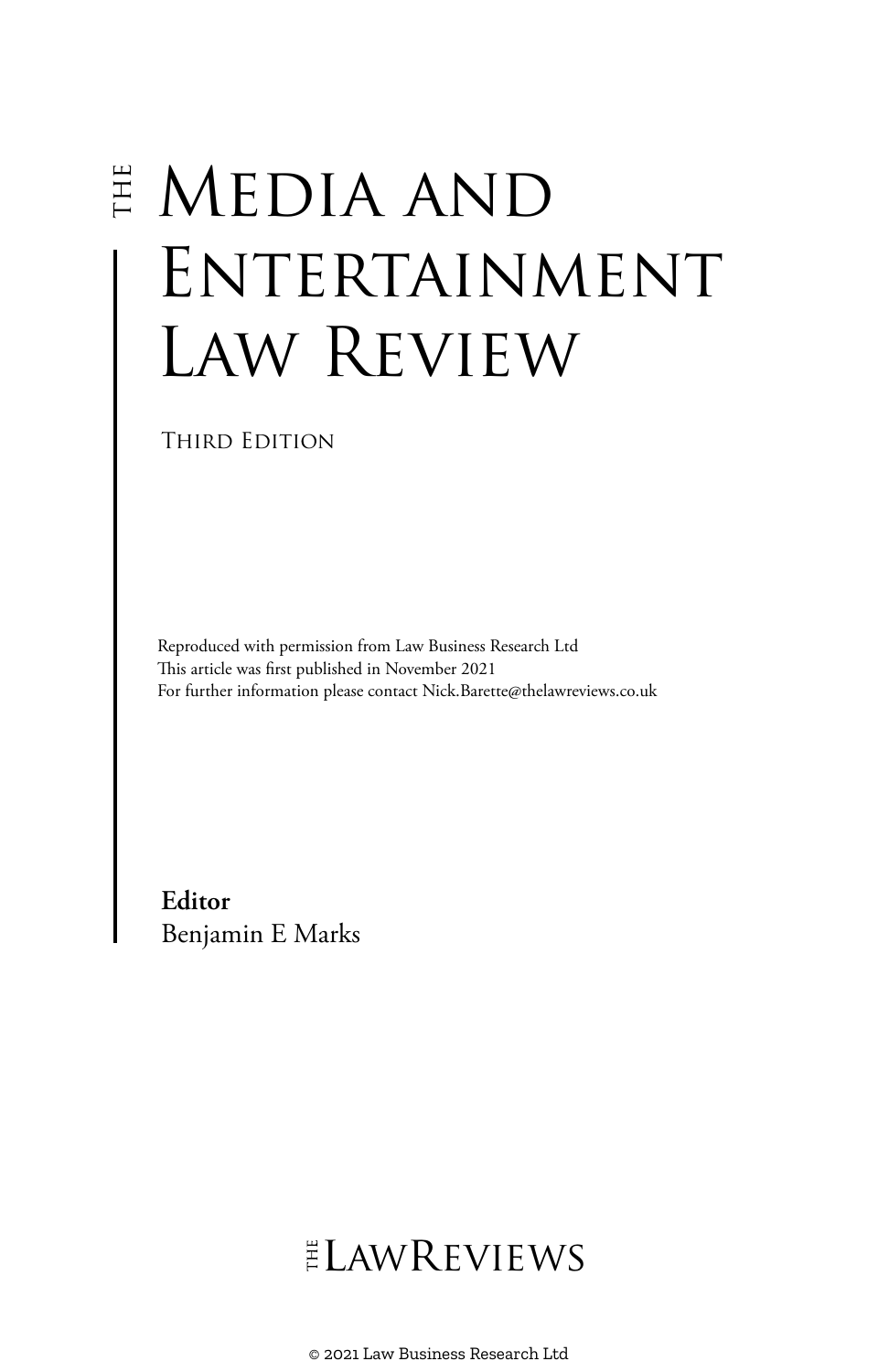# $\overset{\scriptscriptstyle{\mathrm{H}}}{\scriptscriptstyle{\mathrm{F}}}$  MEDIA AND ENTERTAINMENT Law Review

THIRD EDITION

Reproduced with permission from Law Business Research Ltd This article was first published in November 2021 For further information please contact Nick.Barette@thelawreviews.co.uk

**Editor** Benjamin E Marks

## $ELMR$  EVIEWS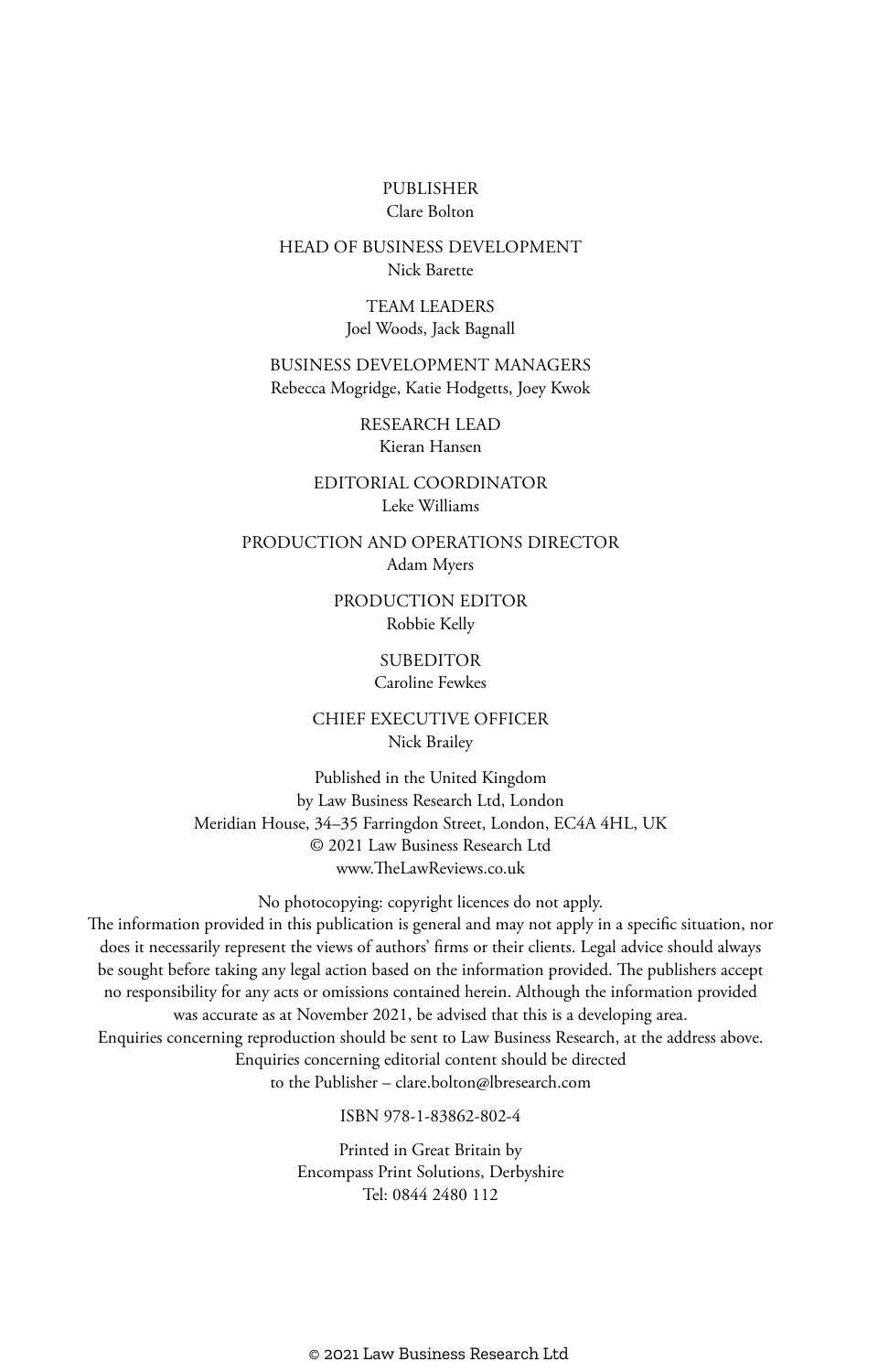#### PUBLISHER Clare Bolton

#### HEAD OF BUSINESS DEVELOPMENT Nick Barette

TEAM LEADERS Joel Woods, Jack Bagnall

BUSINESS DEVELOPMENT MANAGERS Rebecca Mogridge, Katie Hodgetts, Joey Kwok

> RESEARCH LEAD Kieran Hansen

EDITORIAL COORDINATOR Leke Williams

PRODUCTION AND OPERATIONS DIRECTOR Adam Myers

> PRODUCTION EDITOR Robbie Kelly

> > **SUBEDITOR**

Caroline Fewkes

CHIEF EXECUTIVE OFFICER Nick Brailey

Published in the United Kingdom by Law Business Research Ltd, London Meridian House, 34–35 Farringdon Street, London, EC4A 4HL, UK © 2021 Law Business Research Ltd www.TheLawReviews.co.uk

No photocopying: copyright licences do not apply. The information provided in this publication is general and may not apply in a specific situation, nor does it necessarily represent the views of authors' firms or their clients. Legal advice should always be sought before taking any legal action based on the information provided. The publishers accept no responsibility for any acts or omissions contained herein. Although the information provided was accurate as at November 2021, be advised that this is a developing area. Enquiries concerning reproduction should be sent to Law Business Research, at the address above. Enquiries concerning editorial content should be directed to the Publisher – clare.bolton@lbresearch.com

ISBN 978-1-83862-802-4

Printed in Great Britain by Encompass Print Solutions, Derbyshire Tel: 0844 2480 112

© 2021 Law Business Research Ltd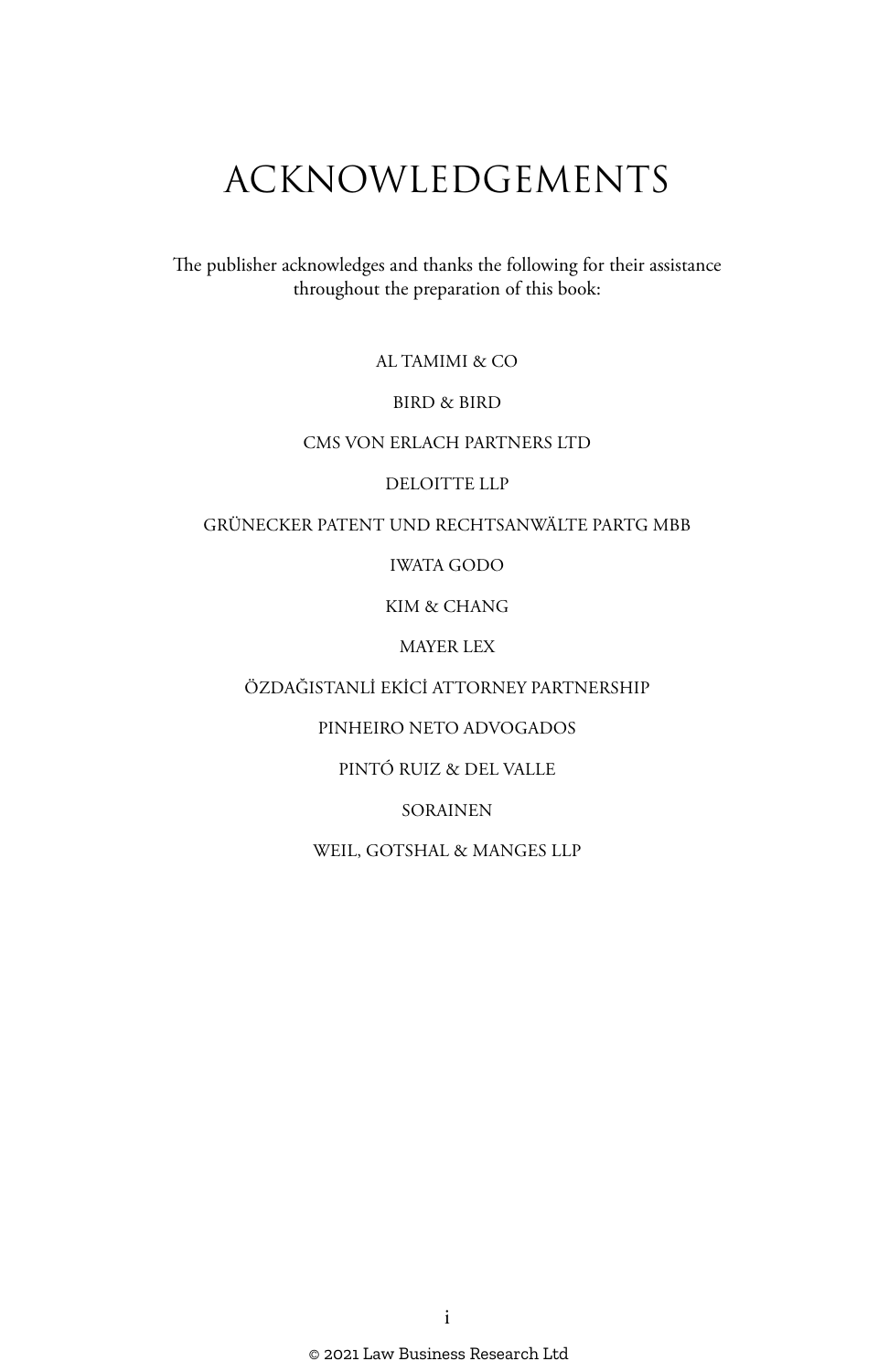## ACKNOWLEDGEMENTS

The publisher acknowledges and thanks the following for their assistance throughout the preparation of this book:

AL TAMIMI & CO

BIRD & BIRD

#### CMS VON ERLACH PARTNERS LTD

#### DELOITTE LLP

#### GRÜNECKER PATENT UND RECHTSANWÄLTE PARTG MBB

#### IWATA GODO

#### KIM & CHANG

#### MAYER LEX

#### ÖZDAĞISTANLİ EKİCİ ATTORNEY PARTNERSHIP

#### PINHEIRO NETO ADVOGADOS

#### PINTÓ RUIZ & DEL VALLE

#### SORAINEN

#### WEIL, GOTSHAL & MANGES LLP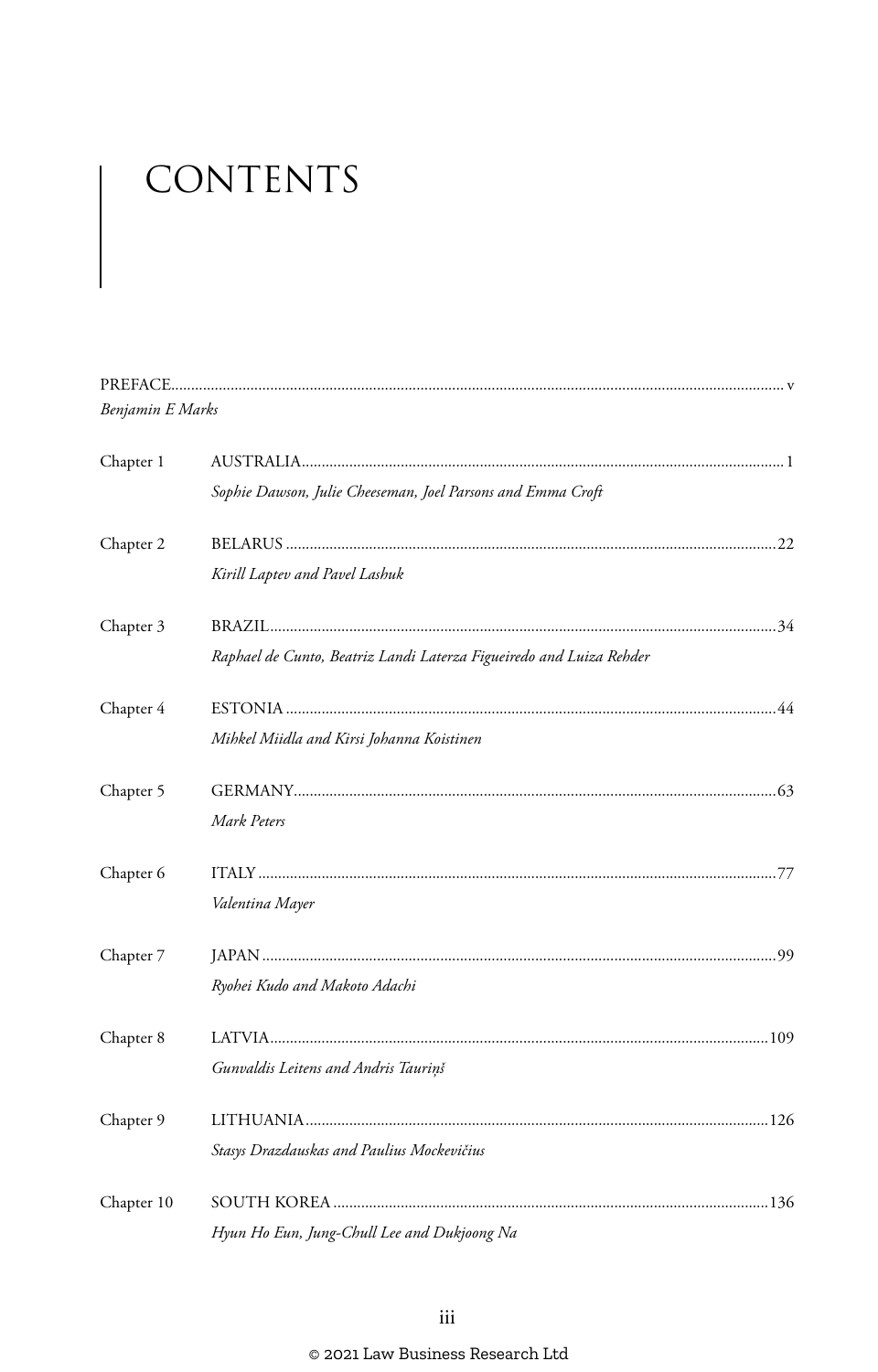# CONTENTS

| Benjamin E Marks |                                                                     |  |
|------------------|---------------------------------------------------------------------|--|
| Chapter 1        |                                                                     |  |
|                  | Sophie Dawson, Julie Cheeseman, Joel Parsons and Emma Croft         |  |
| Chapter 2        |                                                                     |  |
|                  | Kirill Laptev and Pavel Lashuk                                      |  |
| Chapter 3        |                                                                     |  |
|                  | Raphael de Cunto, Beatriz Landi Laterza Figueiredo and Luiza Rehder |  |
| Chapter 4        |                                                                     |  |
|                  | Mihkel Miidla and Kirsi Johanna Koistinen                           |  |
| Chapter 5        |                                                                     |  |
|                  | Mark Peters                                                         |  |
| Chapter 6        |                                                                     |  |
|                  | Valentina Mayer                                                     |  |
| Chapter 7        |                                                                     |  |
|                  | Ryohei Kudo and Makoto Adachi                                       |  |
| Chapter 8        |                                                                     |  |
|                  | Gunvaldis Leitens and Andris Tauriņš                                |  |
| Chapter 9        |                                                                     |  |
|                  | Stasys Drazdauskas and Paulius Mockevičius                          |  |
| Chapter 10       |                                                                     |  |
|                  | Hyun Ho Eun, Jung-Chull Lee and Dukjoong Na                         |  |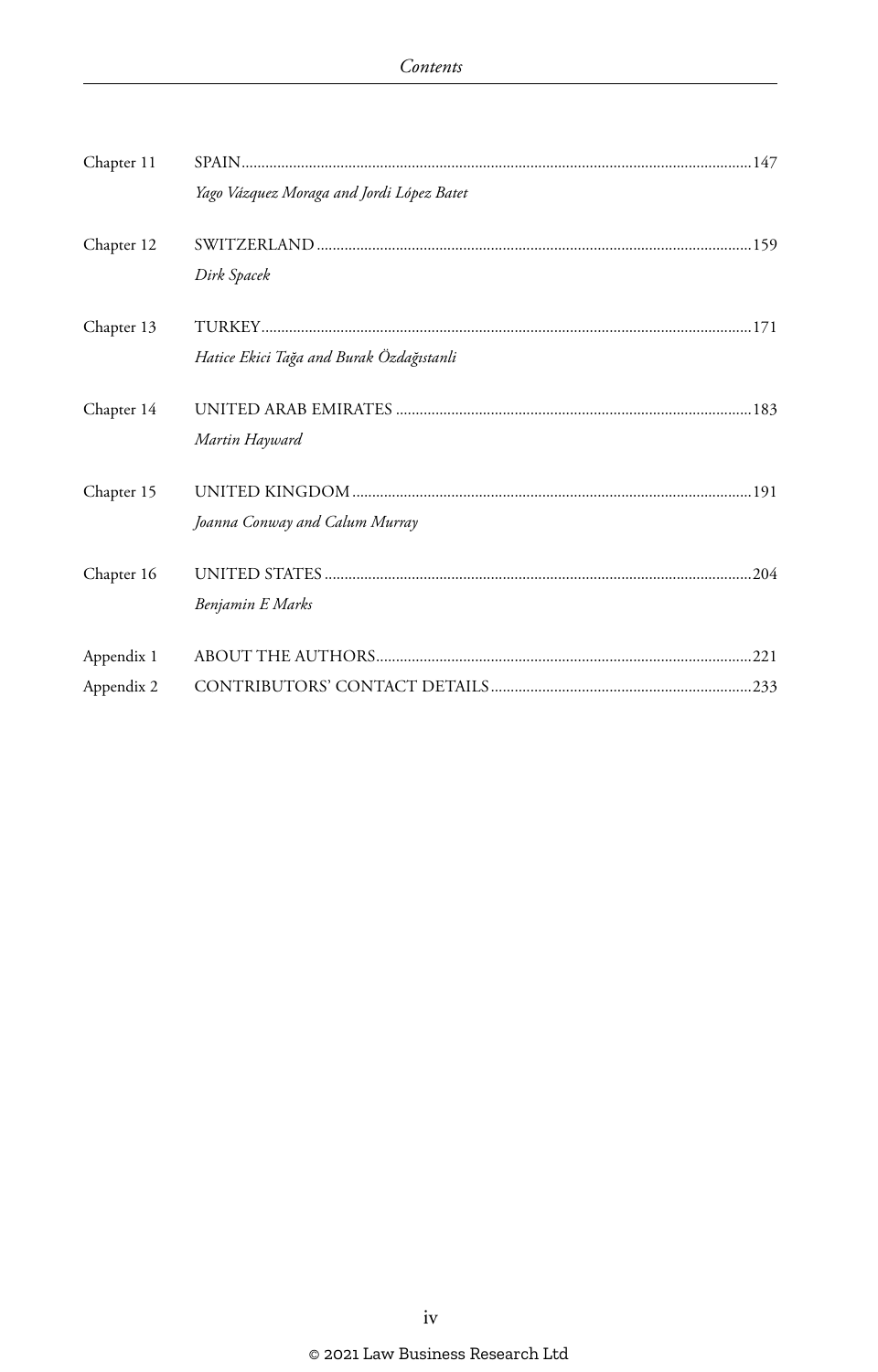| Chapter 11 |                                           |  |
|------------|-------------------------------------------|--|
|            | Yago Vázquez Moraga and Jordi López Batet |  |
| Chapter 12 |                                           |  |
|            | Dirk Spacek                               |  |
| Chapter 13 |                                           |  |
|            | Hatice Ekici Tağa and Burak Özdağıstanli  |  |
| Chapter 14 |                                           |  |
|            | Martin Hayward                            |  |
| Chapter 15 |                                           |  |
|            | Joanna Conway and Calum Murray            |  |
| Chapter 16 |                                           |  |
|            | Benjamin E Marks                          |  |
| Appendix 1 |                                           |  |
| Appendix 2 |                                           |  |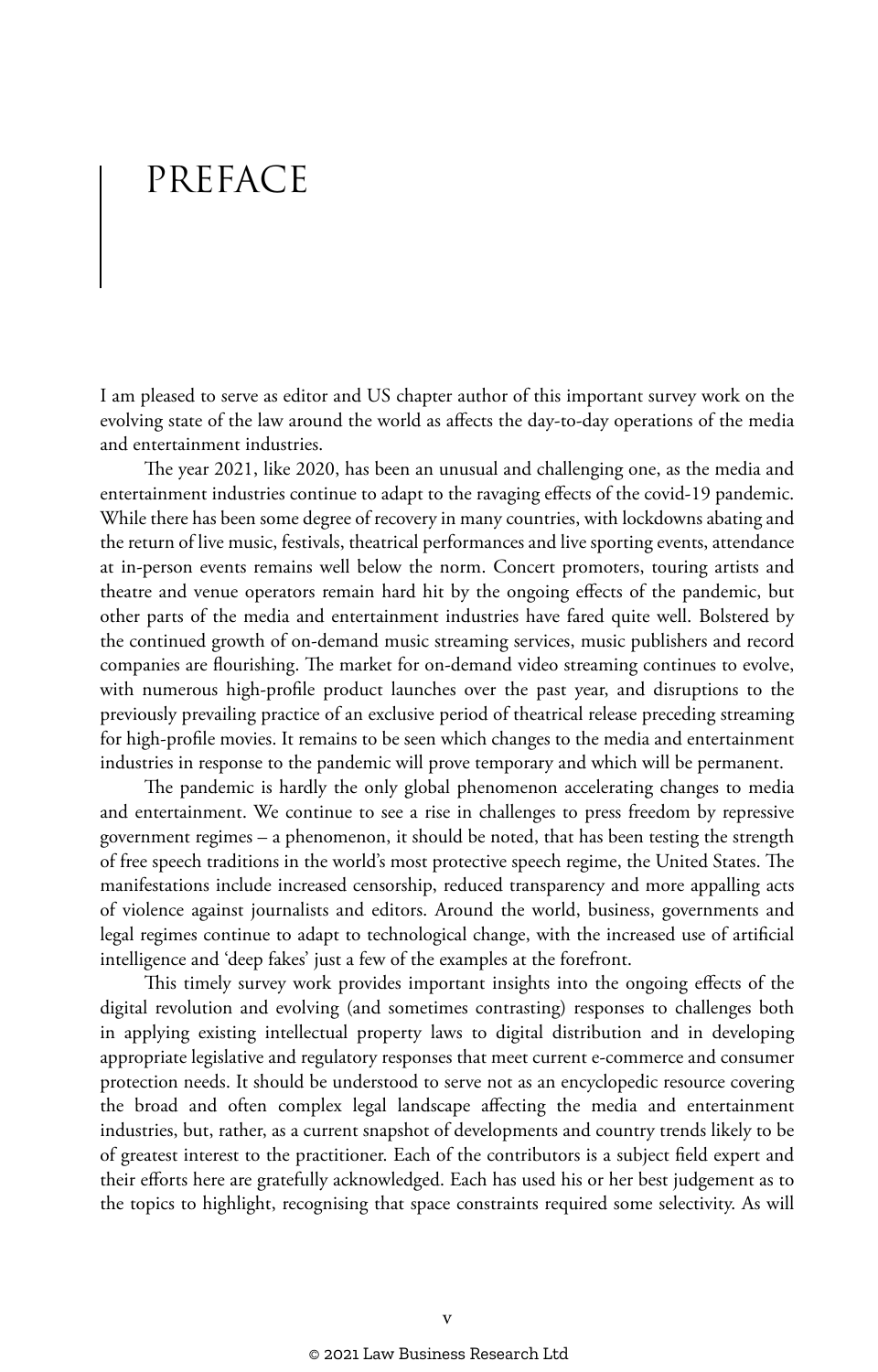## PREFACE

I am pleased to serve as editor and US chapter author of this important survey work on the evolving state of the law around the world as affects the day-to-day operations of the media and entertainment industries.

The year 2021, like 2020, has been an unusual and challenging one, as the media and entertainment industries continue to adapt to the ravaging effects of the covid-19 pandemic. While there has been some degree of recovery in many countries, with lockdowns abating and the return of live music, festivals, theatrical performances and live sporting events, attendance at in-person events remains well below the norm. Concert promoters, touring artists and theatre and venue operators remain hard hit by the ongoing effects of the pandemic, but other parts of the media and entertainment industries have fared quite well. Bolstered by the continued growth of on-demand music streaming services, music publishers and record companies are flourishing. The market for on-demand video streaming continues to evolve, with numerous high-profile product launches over the past year, and disruptions to the previously prevailing practice of an exclusive period of theatrical release preceding streaming for high-profile movies. It remains to be seen which changes to the media and entertainment industries in response to the pandemic will prove temporary and which will be permanent.

The pandemic is hardly the only global phenomenon accelerating changes to media and entertainment. We continue to see a rise in challenges to press freedom by repressive government regimes – a phenomenon, it should be noted, that has been testing the strength of free speech traditions in the world's most protective speech regime, the United States. The manifestations include increased censorship, reduced transparency and more appalling acts of violence against journalists and editors. Around the world, business, governments and legal regimes continue to adapt to technological change, with the increased use of artificial intelligence and 'deep fakes' just a few of the examples at the forefront.

This timely survey work provides important insights into the ongoing effects of the digital revolution and evolving (and sometimes contrasting) responses to challenges both in applying existing intellectual property laws to digital distribution and in developing appropriate legislative and regulatory responses that meet current e-commerce and consumer protection needs. It should be understood to serve not as an encyclopedic resource covering the broad and often complex legal landscape affecting the media and entertainment industries, but, rather, as a current snapshot of developments and country trends likely to be of greatest interest to the practitioner. Each of the contributors is a subject field expert and their efforts here are gratefully acknowledged. Each has used his or her best judgement as to the topics to highlight, recognising that space constraints required some selectivity. As will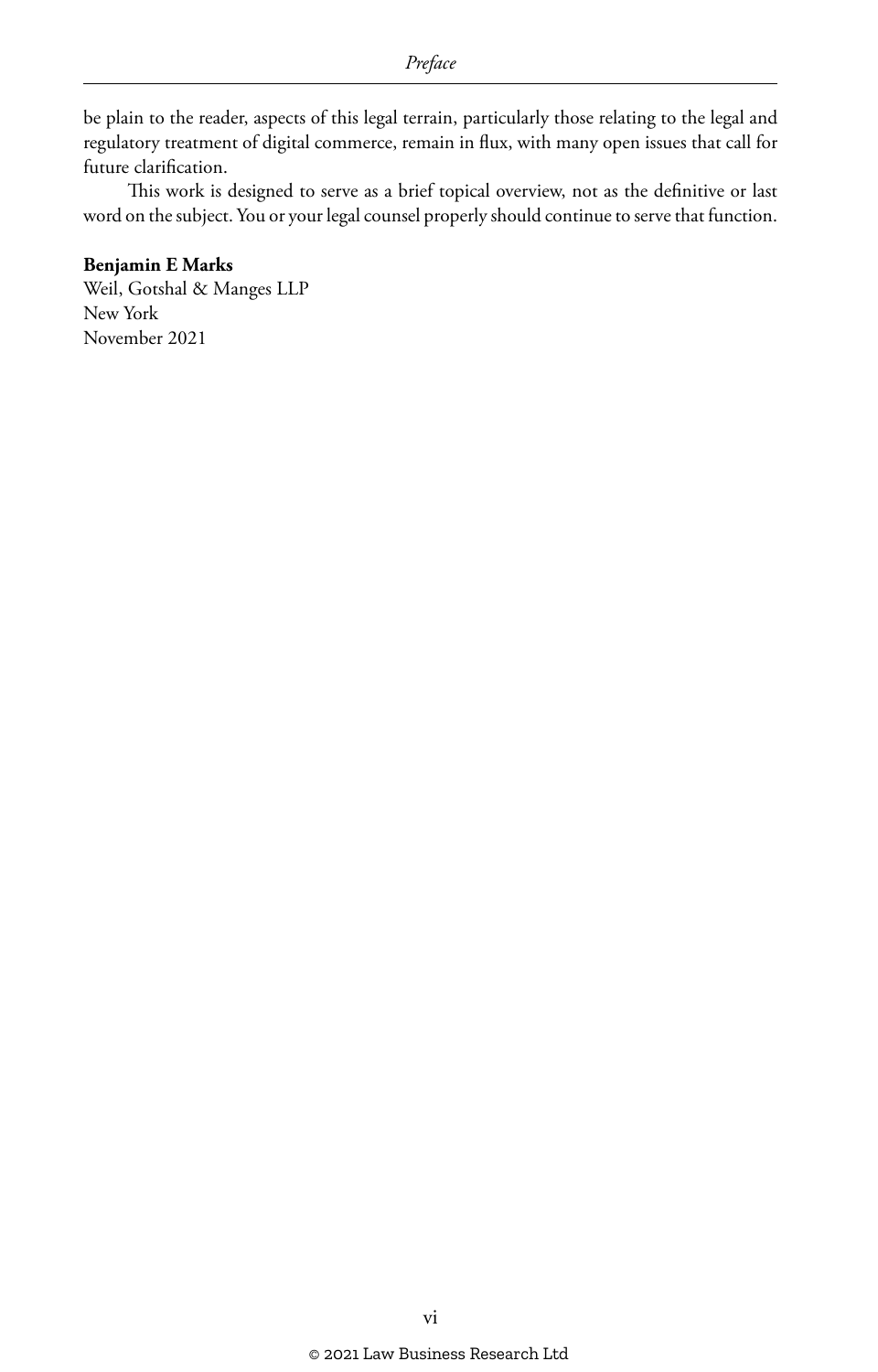be plain to the reader, aspects of this legal terrain, particularly those relating to the legal and regulatory treatment of digital commerce, remain in flux, with many open issues that call for future clarification.

This work is designed to serve as a brief topical overview, not as the definitive or last word on the subject. You or your legal counsel properly should continue to serve that function.

#### **Benjamin E Marks**

Weil, Gotshal & Manges LLP New York November 2021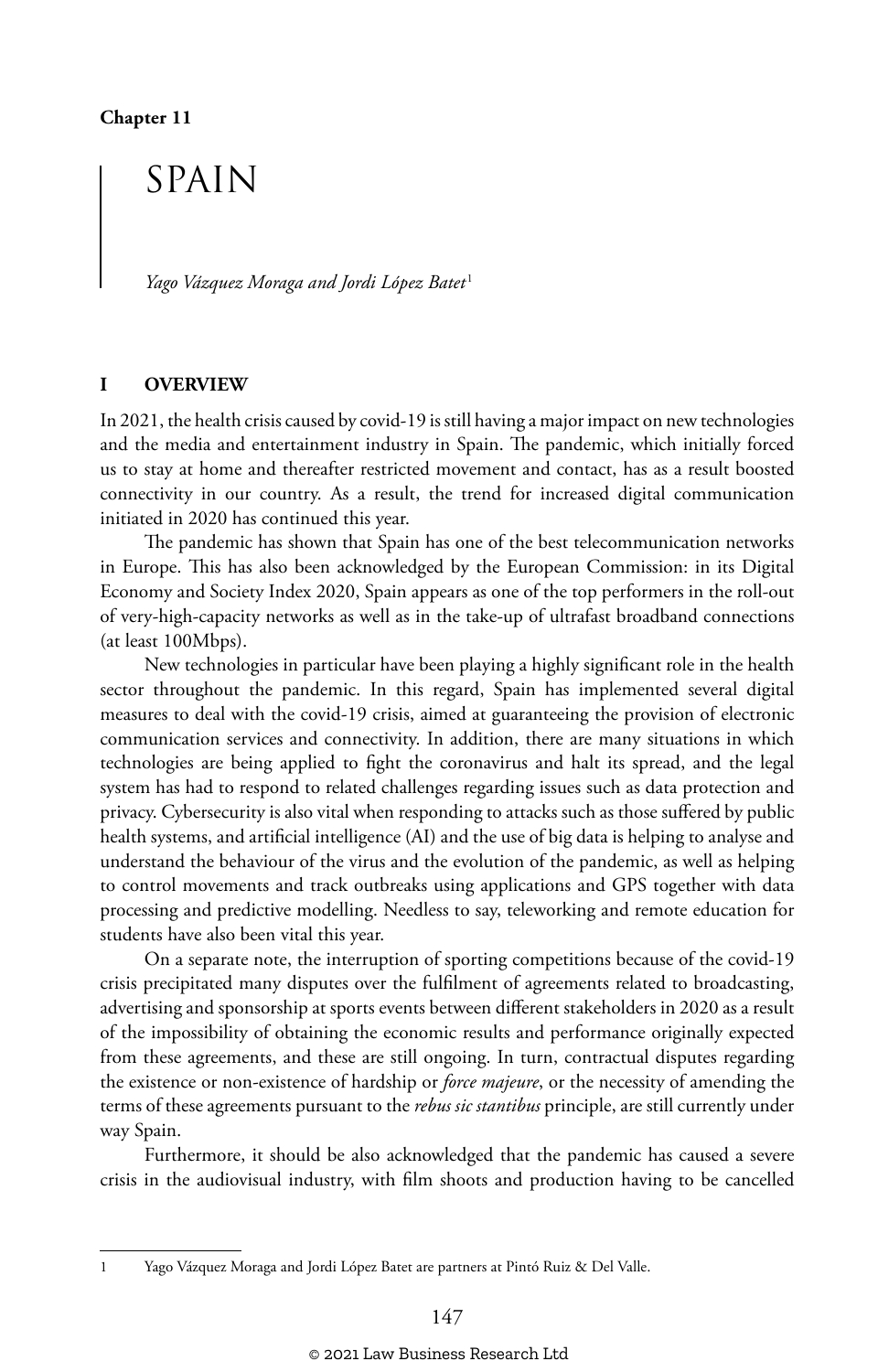**Chapter 11**

## SPAIN

*Yago Vázquez Moraga and Jordi López Batet* <sup>1</sup>

#### **I OVERVIEW**

In 2021, the health crisis caused by covid-19 is still having a major impact on new technologies and the media and entertainment industry in Spain. The pandemic, which initially forced us to stay at home and thereafter restricted movement and contact, has as a result boosted connectivity in our country. As a result, the trend for increased digital communication initiated in 2020 has continued this year.

The pandemic has shown that Spain has one of the best telecommunication networks in Europe. This has also been acknowledged by the European Commission: in its Digital Economy and Society Index 2020, Spain appears as one of the top performers in the roll-out of very-high-capacity networks as well as in the take-up of ultrafast broadband connections (at least 100Mbps).

New technologies in particular have been playing a highly significant role in the health sector throughout the pandemic. In this regard, Spain has implemented several digital measures to deal with the covid-19 crisis, aimed at guaranteeing the provision of electronic communication services and connectivity. In addition, there are many situations in which technologies are being applied to fight the coronavirus and halt its spread, and the legal system has had to respond to related challenges regarding issues such as data protection and privacy. Cybersecurity is also vital when responding to attacks such as those suffered by public health systems, and artificial intelligence (AI) and the use of big data is helping to analyse and understand the behaviour of the virus and the evolution of the pandemic, as well as helping to control movements and track outbreaks using applications and GPS together with data processing and predictive modelling. Needless to say, teleworking and remote education for students have also been vital this year.

On a separate note, the interruption of sporting competitions because of the covid-19 crisis precipitated many disputes over the fulfilment of agreements related to broadcasting, advertising and sponsorship at sports events between different stakeholders in 2020 as a result of the impossibility of obtaining the economic results and performance originally expected from these agreements, and these are still ongoing. In turn, contractual disputes regarding the existence or non-existence of hardship or *force majeure*, or the necessity of amending the terms of these agreements pursuant to the *rebus sic stantibus* principle, are still currently under way Spain.

Furthermore, it should be also acknowledged that the pandemic has caused a severe crisis in the audiovisual industry, with film shoots and production having to be cancelled

<sup>1</sup> Yago Vázquez Moraga and Jordi López Batet are partners at Pintó Ruiz & Del Valle.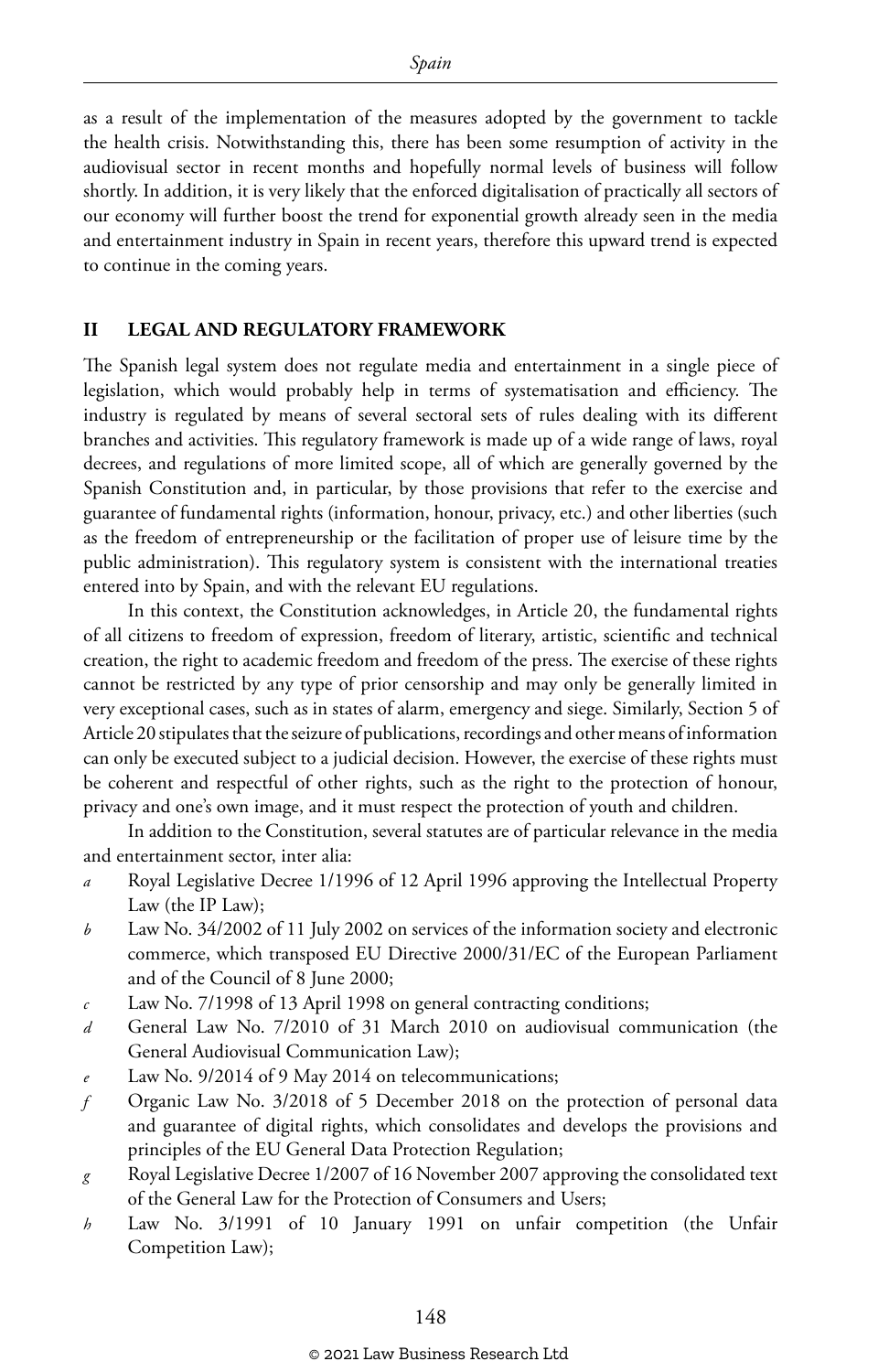as a result of the implementation of the measures adopted by the government to tackle the health crisis. Notwithstanding this, there has been some resumption of activity in the audiovisual sector in recent months and hopefully normal levels of business will follow shortly. In addition, it is very likely that the enforced digitalisation of practically all sectors of our economy will further boost the trend for exponential growth already seen in the media and entertainment industry in Spain in recent years, therefore this upward trend is expected to continue in the coming years.

#### **II LEGAL AND REGULATORY FRAMEWORK**

The Spanish legal system does not regulate media and entertainment in a single piece of legislation, which would probably help in terms of systematisation and efficiency. The industry is regulated by means of several sectoral sets of rules dealing with its different branches and activities. This regulatory framework is made up of a wide range of laws, royal decrees, and regulations of more limited scope, all of which are generally governed by the Spanish Constitution and, in particular, by those provisions that refer to the exercise and guarantee of fundamental rights (information, honour, privacy, etc.) and other liberties (such as the freedom of entrepreneurship or the facilitation of proper use of leisure time by the public administration). This regulatory system is consistent with the international treaties entered into by Spain, and with the relevant EU regulations.

In this context, the Constitution acknowledges, in Article 20, the fundamental rights of all citizens to freedom of expression, freedom of literary, artistic, scientific and technical creation, the right to academic freedom and freedom of the press. The exercise of these rights cannot be restricted by any type of prior censorship and may only be generally limited in very exceptional cases, such as in states of alarm, emergency and siege. Similarly, Section 5 of Article 20 stipulates that the seizure of publications, recordings and other means of information can only be executed subject to a judicial decision. However, the exercise of these rights must be coherent and respectful of other rights, such as the right to the protection of honour, privacy and one's own image, and it must respect the protection of youth and children.

In addition to the Constitution, several statutes are of particular relevance in the media and entertainment sector, inter alia:

- *a* Royal Legislative Decree 1/1996 of 12 April 1996 approving the Intellectual Property Law (the IP Law);
- *b* Law No. 34/2002 of 11 July 2002 on services of the information society and electronic commerce, which transposed EU Directive 2000/31/EC of the European Parliament and of the Council of 8 June 2000;
- *c* Law No. 7/1998 of 13 April 1998 on general contracting conditions;
- *d* General Law No. 7/2010 of 31 March 2010 on audiovisual communication (the General Audiovisual Communication Law);
- Law No. 9/2014 of 9 May 2014 on telecommunications;
- *f* Organic Law No. 3/2018 of 5 December 2018 on the protection of personal data and guarantee of digital rights, which consolidates and develops the provisions and principles of the EU General Data Protection Regulation;
- *g* Royal Legislative Decree 1/2007 of 16 November 2007 approving the consolidated text of the General Law for the Protection of Consumers and Users;
- *h* Law No. 3/1991 of 10 January 1991 on unfair competition (the Unfair Competition Law);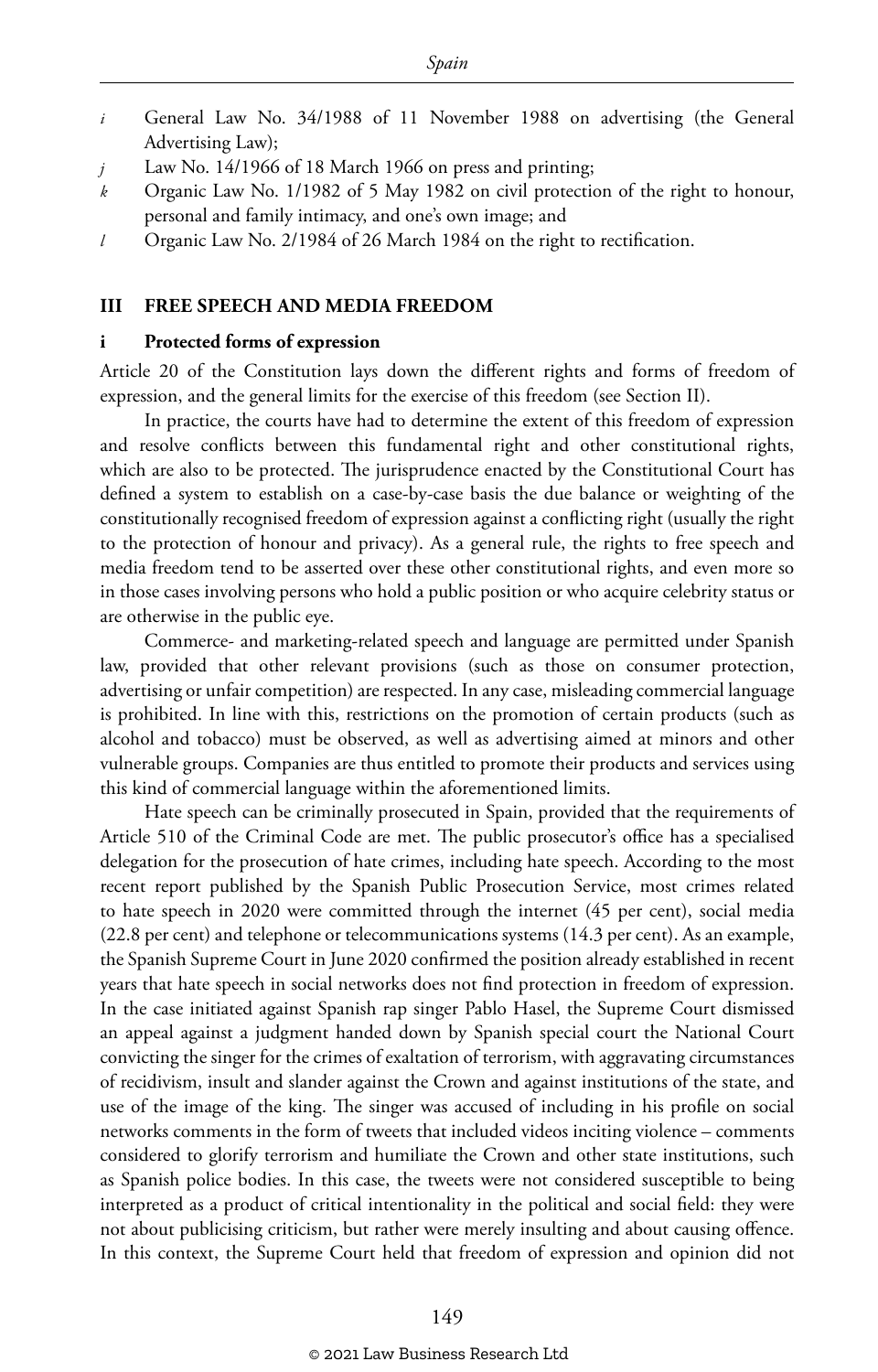- *i* General Law No. 34/1988 of 11 November 1988 on advertising (the General Advertising Law);
- *j* Law No. 14/1966 of 18 March 1966 on press and printing;
- *k* Organic Law No. 1/1982 of 5 May 1982 on civil protection of the right to honour, personal and family intimacy, and one's own image; and
- *l* Organic Law No. 2/1984 of 26 March 1984 on the right to rectification.

#### **III FREE SPEECH AND MEDIA FREEDOM**

#### **i Protected forms of expression**

Article 20 of the Constitution lays down the different rights and forms of freedom of expression, and the general limits for the exercise of this freedom (see Section II).

In practice, the courts have had to determine the extent of this freedom of expression and resolve conflicts between this fundamental right and other constitutional rights, which are also to be protected. The jurisprudence enacted by the Constitutional Court has defined a system to establish on a case-by-case basis the due balance or weighting of the constitutionally recognised freedom of expression against a conflicting right (usually the right to the protection of honour and privacy). As a general rule, the rights to free speech and media freedom tend to be asserted over these other constitutional rights, and even more so in those cases involving persons who hold a public position or who acquire celebrity status or are otherwise in the public eye.

Commerce- and marketing-related speech and language are permitted under Spanish law, provided that other relevant provisions (such as those on consumer protection, advertising or unfair competition) are respected. In any case, misleading commercial language is prohibited. In line with this, restrictions on the promotion of certain products (such as alcohol and tobacco) must be observed, as well as advertising aimed at minors and other vulnerable groups. Companies are thus entitled to promote their products and services using this kind of commercial language within the aforementioned limits.

Hate speech can be criminally prosecuted in Spain, provided that the requirements of Article 510 of the Criminal Code are met. The public prosecutor's office has a specialised delegation for the prosecution of hate crimes, including hate speech. According to the most recent report published by the Spanish Public Prosecution Service, most crimes related to hate speech in 2020 were committed through the internet (45 per cent), social media (22.8 per cent) and telephone or telecommunications systems (14.3 per cent). As an example, the Spanish Supreme Court in June 2020 confirmed the position already established in recent years that hate speech in social networks does not find protection in freedom of expression. In the case initiated against Spanish rap singer Pablo Hasel, the Supreme Court dismissed an appeal against a judgment handed down by Spanish special court the National Court convicting the singer for the crimes of exaltation of terrorism, with aggravating circumstances of recidivism, insult and slander against the Crown and against institutions of the state, and use of the image of the king. The singer was accused of including in his profile on social networks comments in the form of tweets that included videos inciting violence – comments considered to glorify terrorism and humiliate the Crown and other state institutions, such as Spanish police bodies. In this case, the tweets were not considered susceptible to being interpreted as a product of critical intentionality in the political and social field: they were not about publicising criticism, but rather were merely insulting and about causing offence. In this context, the Supreme Court held that freedom of expression and opinion did not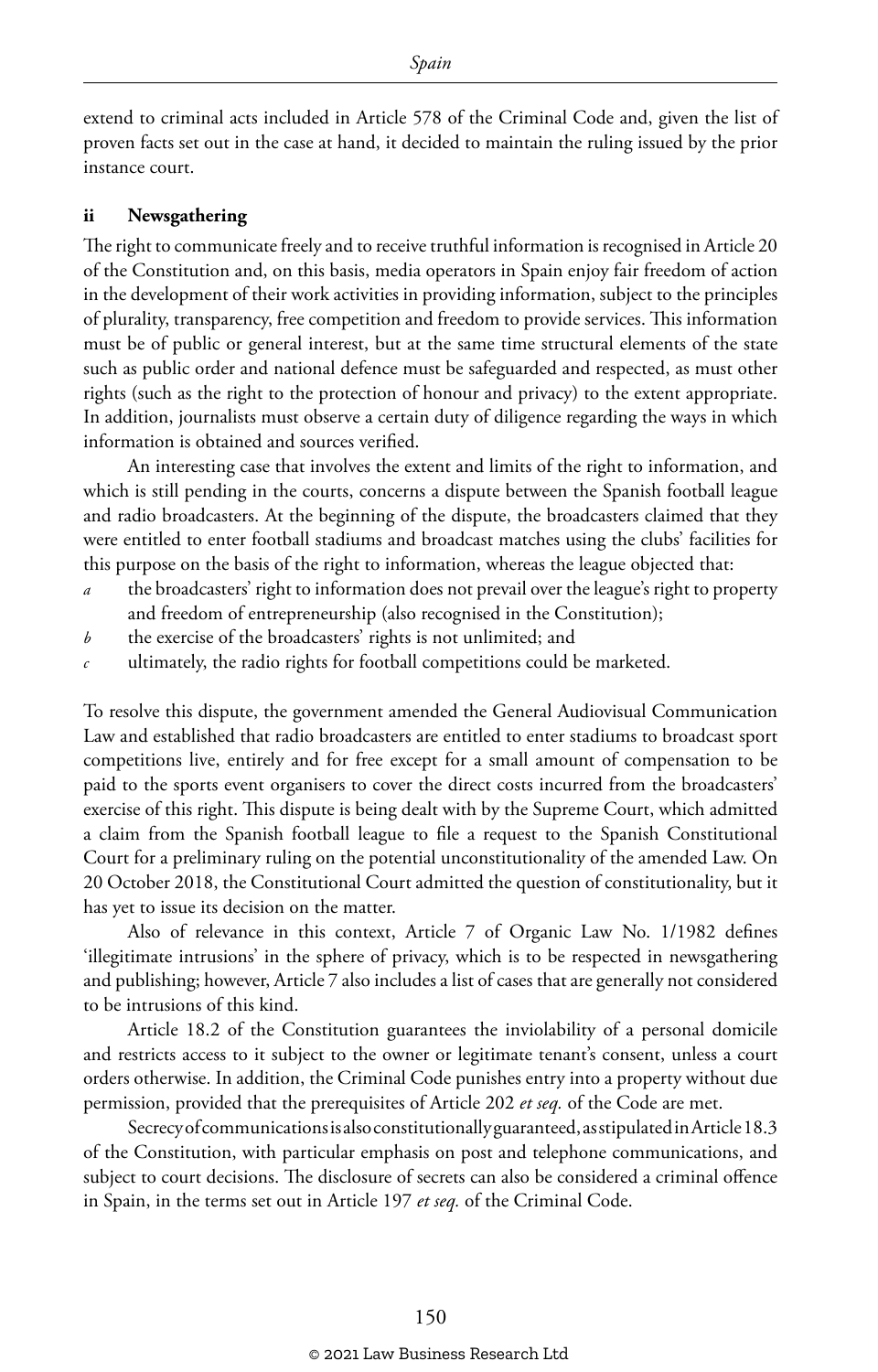extend to criminal acts included in Article 578 of the Criminal Code and, given the list of proven facts set out in the case at hand, it decided to maintain the ruling issued by the prior instance court.

#### **ii Newsgathering**

The right to communicate freely and to receive truthful information is recognised in Article 20 of the Constitution and, on this basis, media operators in Spain enjoy fair freedom of action in the development of their work activities in providing information, subject to the principles of plurality, transparency, free competition and freedom to provide services. This information must be of public or general interest, but at the same time structural elements of the state such as public order and national defence must be safeguarded and respected, as must other rights (such as the right to the protection of honour and privacy) to the extent appropriate. In addition, journalists must observe a certain duty of diligence regarding the ways in which information is obtained and sources verified.

An interesting case that involves the extent and limits of the right to information, and which is still pending in the courts, concerns a dispute between the Spanish football league and radio broadcasters. At the beginning of the dispute, the broadcasters claimed that they were entitled to enter football stadiums and broadcast matches using the clubs' facilities for this purpose on the basis of the right to information, whereas the league objected that:

- *a* the broadcasters' right to information does not prevail over the league's right to property and freedom of entrepreneurship (also recognised in the Constitution);
- *b* the exercise of the broadcasters' rights is not unlimited; and
- *c* ultimately, the radio rights for football competitions could be marketed.

To resolve this dispute, the government amended the General Audiovisual Communication Law and established that radio broadcasters are entitled to enter stadiums to broadcast sport competitions live, entirely and for free except for a small amount of compensation to be paid to the sports event organisers to cover the direct costs incurred from the broadcasters' exercise of this right. This dispute is being dealt with by the Supreme Court, which admitted a claim from the Spanish football league to file a request to the Spanish Constitutional Court for a preliminary ruling on the potential unconstitutionality of the amended Law. On 20 October 2018, the Constitutional Court admitted the question of constitutionality, but it has yet to issue its decision on the matter.

Also of relevance in this context, Article 7 of Organic Law No. 1/1982 defines 'illegitimate intrusions' in the sphere of privacy, which is to be respected in newsgathering and publishing; however, Article 7 also includes a list of cases that are generally not considered to be intrusions of this kind.

Article 18.2 of the Constitution guarantees the inviolability of a personal domicile and restricts access to it subject to the owner or legitimate tenant's consent, unless a court orders otherwise. In addition, the Criminal Code punishes entry into a property without due permission, provided that the prerequisites of Article 202 *et seq.* of the Code are met.

Secrecy of communications is also constitutionally guaranteed, as stipulated in Article 18.3 of the Constitution, with particular emphasis on post and telephone communications, and subject to court decisions. The disclosure of secrets can also be considered a criminal offence in Spain, in the terms set out in Article 197 *et seq.* of the Criminal Code.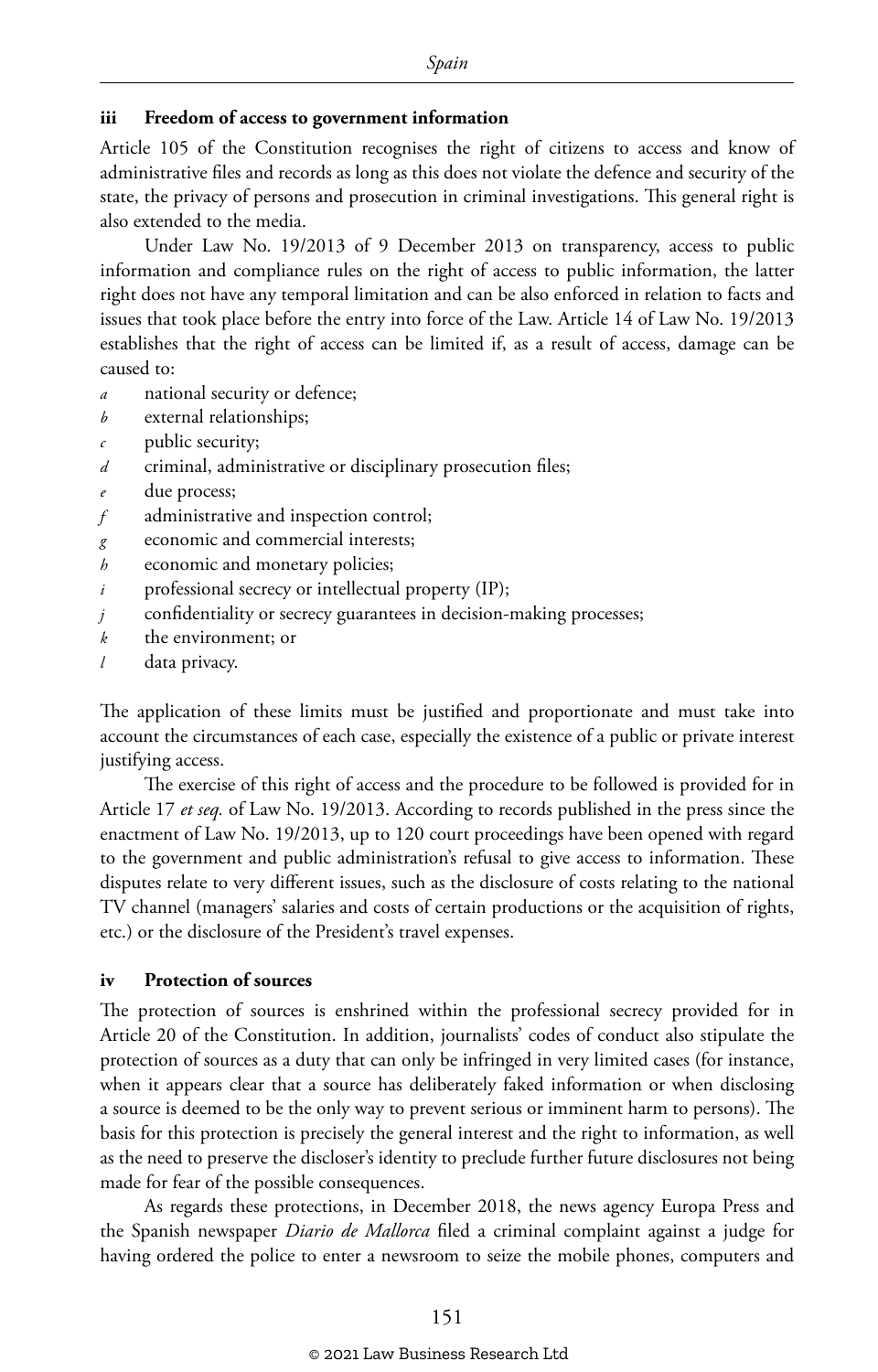#### **iii Freedom of access to government information**

Article 105 of the Constitution recognises the right of citizens to access and know of administrative files and records as long as this does not violate the defence and security of the state, the privacy of persons and prosecution in criminal investigations. This general right is also extended to the media.

Under Law No. 19/2013 of 9 December 2013 on transparency, access to public information and compliance rules on the right of access to public information, the latter right does not have any temporal limitation and can be also enforced in relation to facts and issues that took place before the entry into force of the Law. Article 14 of Law No. 19/2013 establishes that the right of access can be limited if, as a result of access, damage can be caused to:

- *a* national security or defence;
- *b* external relationships;
- *c* public security;
- *d* criminal, administrative or disciplinary prosecution files;
- due process;
- *f* administrative and inspection control;
- *g* economic and commercial interests;
- *h* economic and monetary policies:
- *i* professional secrecy or intellectual property (IP);
- *j* confidentiality or secrecy guarantees in decision-making processes;
- *k* the environment; or
- *l* data privacy.

The application of these limits must be justified and proportionate and must take into account the circumstances of each case, especially the existence of a public or private interest justifying access.

The exercise of this right of access and the procedure to be followed is provided for in Article 17 *et seq.* of Law No. 19/2013. According to records published in the press since the enactment of Law No. 19/2013, up to 120 court proceedings have been opened with regard to the government and public administration's refusal to give access to information. These disputes relate to very different issues, such as the disclosure of costs relating to the national TV channel (managers' salaries and costs of certain productions or the acquisition of rights, etc.) or the disclosure of the President's travel expenses.

#### **iv Protection of sources**

The protection of sources is enshrined within the professional secrecy provided for in Article 20 of the Constitution. In addition, journalists' codes of conduct also stipulate the protection of sources as a duty that can only be infringed in very limited cases (for instance, when it appears clear that a source has deliberately faked information or when disclosing a source is deemed to be the only way to prevent serious or imminent harm to persons). The basis for this protection is precisely the general interest and the right to information, as well as the need to preserve the discloser's identity to preclude further future disclosures not being made for fear of the possible consequences.

As regards these protections, in December 2018, the news agency Europa Press and the Spanish newspaper *Diario de Mallorca* filed a criminal complaint against a judge for having ordered the police to enter a newsroom to seize the mobile phones, computers and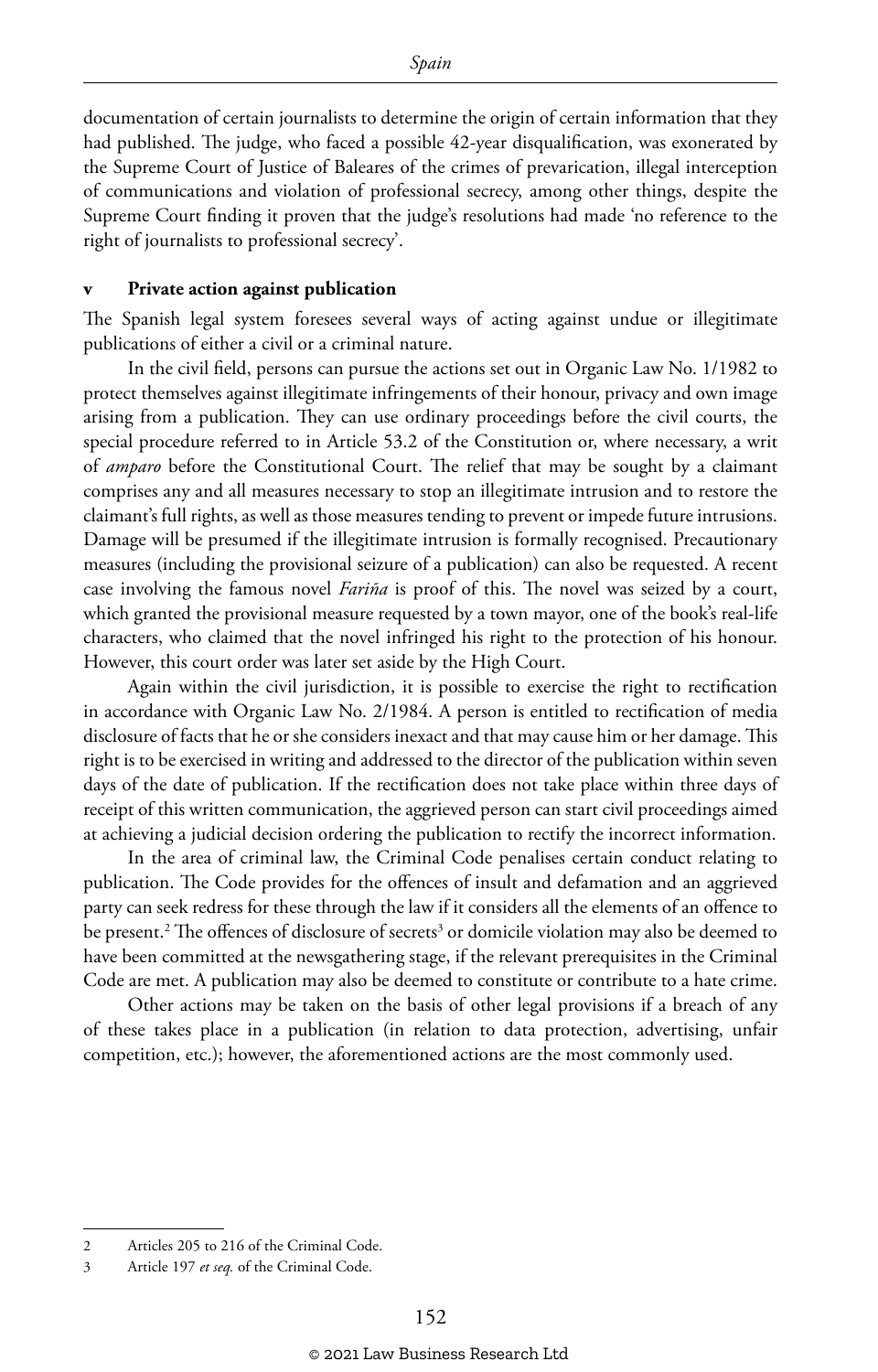documentation of certain journalists to determine the origin of certain information that they had published. The judge, who faced a possible 42-year disqualification, was exonerated by the Supreme Court of Justice of Baleares of the crimes of prevarication, illegal interception of communications and violation of professional secrecy, among other things, despite the Supreme Court finding it proven that the judge's resolutions had made 'no reference to the right of journalists to professional secrecy'.

#### **v Private action against publication**

The Spanish legal system foresees several ways of acting against undue or illegitimate publications of either a civil or a criminal nature.

In the civil field, persons can pursue the actions set out in Organic Law No. 1/1982 to protect themselves against illegitimate infringements of their honour, privacy and own image arising from a publication. They can use ordinary proceedings before the civil courts, the special procedure referred to in Article 53.2 of the Constitution or, where necessary, a writ of *amparo* before the Constitutional Court. The relief that may be sought by a claimant comprises any and all measures necessary to stop an illegitimate intrusion and to restore the claimant's full rights, as well as those measures tending to prevent or impede future intrusions. Damage will be presumed if the illegitimate intrusion is formally recognised. Precautionary measures (including the provisional seizure of a publication) can also be requested. A recent case involving the famous novel *Fariña* is proof of this. The novel was seized by a court, which granted the provisional measure requested by a town mayor, one of the book's real-life characters, who claimed that the novel infringed his right to the protection of his honour. However, this court order was later set aside by the High Court.

Again within the civil jurisdiction, it is possible to exercise the right to rectification in accordance with Organic Law No. 2/1984. A person is entitled to rectification of media disclosure of facts that he or she considers inexact and that may cause him or her damage. This right is to be exercised in writing and addressed to the director of the publication within seven days of the date of publication. If the rectification does not take place within three days of receipt of this written communication, the aggrieved person can start civil proceedings aimed at achieving a judicial decision ordering the publication to rectify the incorrect information.

In the area of criminal law, the Criminal Code penalises certain conduct relating to publication. The Code provides for the offences of insult and defamation and an aggrieved party can seek redress for these through the law if it considers all the elements of an offence to be present.<sup>2</sup> The offences of disclosure of secrets<sup>3</sup> or domicile violation may also be deemed to have been committed at the newsgathering stage, if the relevant prerequisites in the Criminal Code are met. A publication may also be deemed to constitute or contribute to a hate crime.

Other actions may be taken on the basis of other legal provisions if a breach of any of these takes place in a publication (in relation to data protection, advertising, unfair competition, etc.); however, the aforementioned actions are the most commonly used.

<sup>2</sup> Articles 205 to 216 of the Criminal Code.

<sup>3</sup> Article 197 *et seq.* of the Criminal Code.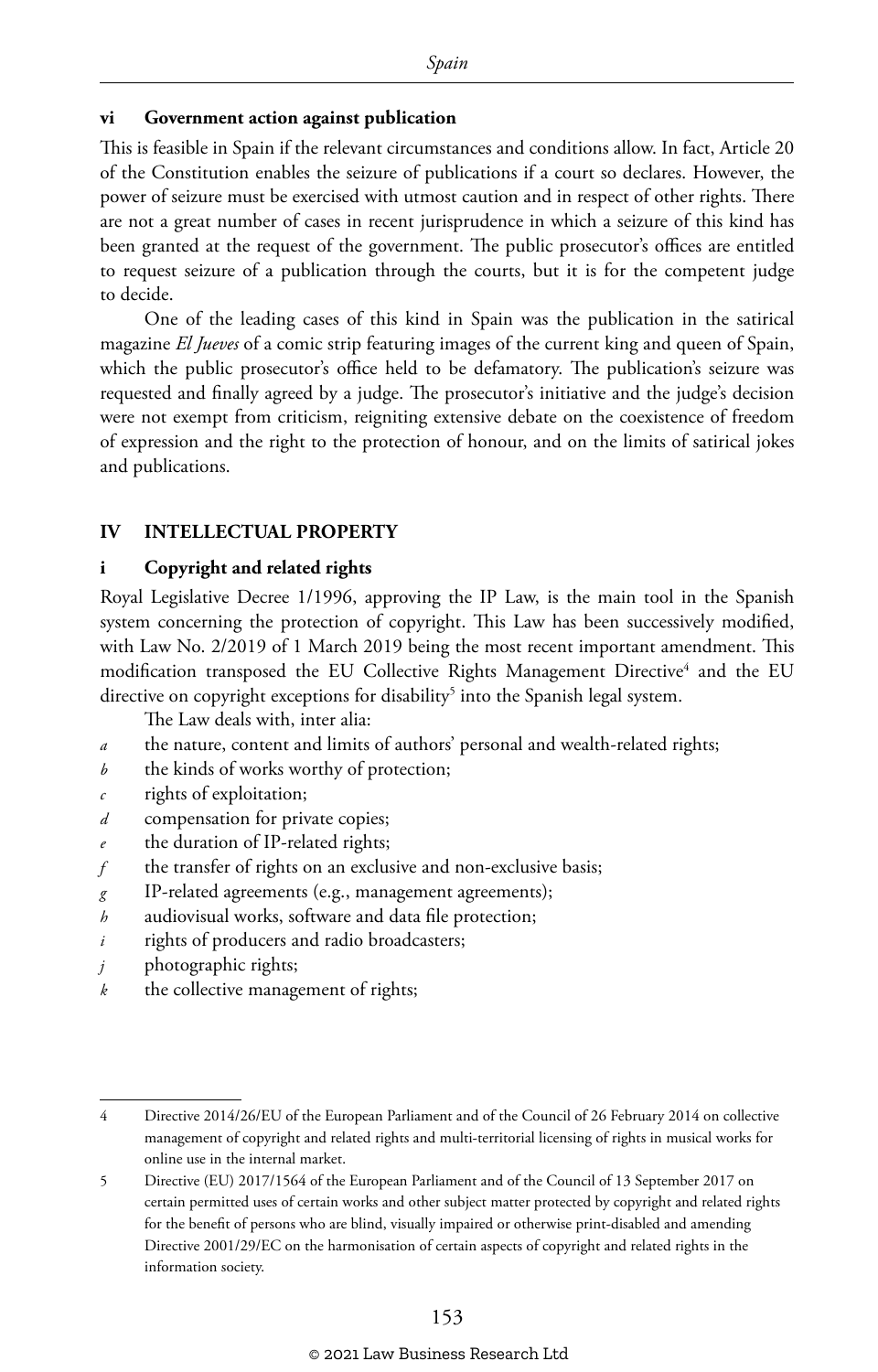#### **vi Government action against publication**

This is feasible in Spain if the relevant circumstances and conditions allow. In fact, Article 20 of the Constitution enables the seizure of publications if a court so declares. However, the power of seizure must be exercised with utmost caution and in respect of other rights. There are not a great number of cases in recent jurisprudence in which a seizure of this kind has been granted at the request of the government. The public prosecutor's offices are entitled to request seizure of a publication through the courts, but it is for the competent judge to decide.

One of the leading cases of this kind in Spain was the publication in the satirical magazine *El Jueves* of a comic strip featuring images of the current king and queen of Spain, which the public prosecutor's office held to be defamatory. The publication's seizure was requested and finally agreed by a judge. The prosecutor's initiative and the judge's decision were not exempt from criticism, reigniting extensive debate on the coexistence of freedom of expression and the right to the protection of honour, and on the limits of satirical jokes and publications.

#### **IV INTELLECTUAL PROPERTY**

#### **i Copyright and related rights**

Royal Legislative Decree 1/1996, approving the IP Law, is the main tool in the Spanish system concerning the protection of copyright. This Law has been successively modified, with Law No. 2/2019 of 1 March 2019 being the most recent important amendment. This modification transposed the EU Collective Rights Management Directive<sup>4</sup> and the EU directive on copyright exceptions for disability $^5$  into the Spanish legal system.

The Law deals with, inter alia:

- *a* the nature, content and limits of authors' personal and wealth-related rights;
- *b* the kinds of works worthy of protection;
- *c* rights of exploitation;
- *d* compensation for private copies;
- the duration of IP-related rights;
- *f* the transfer of rights on an exclusive and non-exclusive basis;
- *g* IP-related agreements (e.g., management agreements);
- *h* audiovisual works, software and data file protection;
- *i* rights of producers and radio broadcasters;
- *j* photographic rights;
- *k* the collective management of rights;

<sup>4</sup> Directive 2014/26/EU of the European Parliament and of the Council of 26 February 2014 on collective management of copyright and related rights and multi-territorial licensing of rights in musical works for online use in the internal market.

<sup>5</sup> Directive (EU) 2017/1564 of the European Parliament and of the Council of 13 September 2017 on certain permitted uses of certain works and other subject matter protected by copyright and related rights for the benefit of persons who are blind, visually impaired or otherwise print-disabled and amending Directive 2001/29/EC on the harmonisation of certain aspects of copyright and related rights in the information society.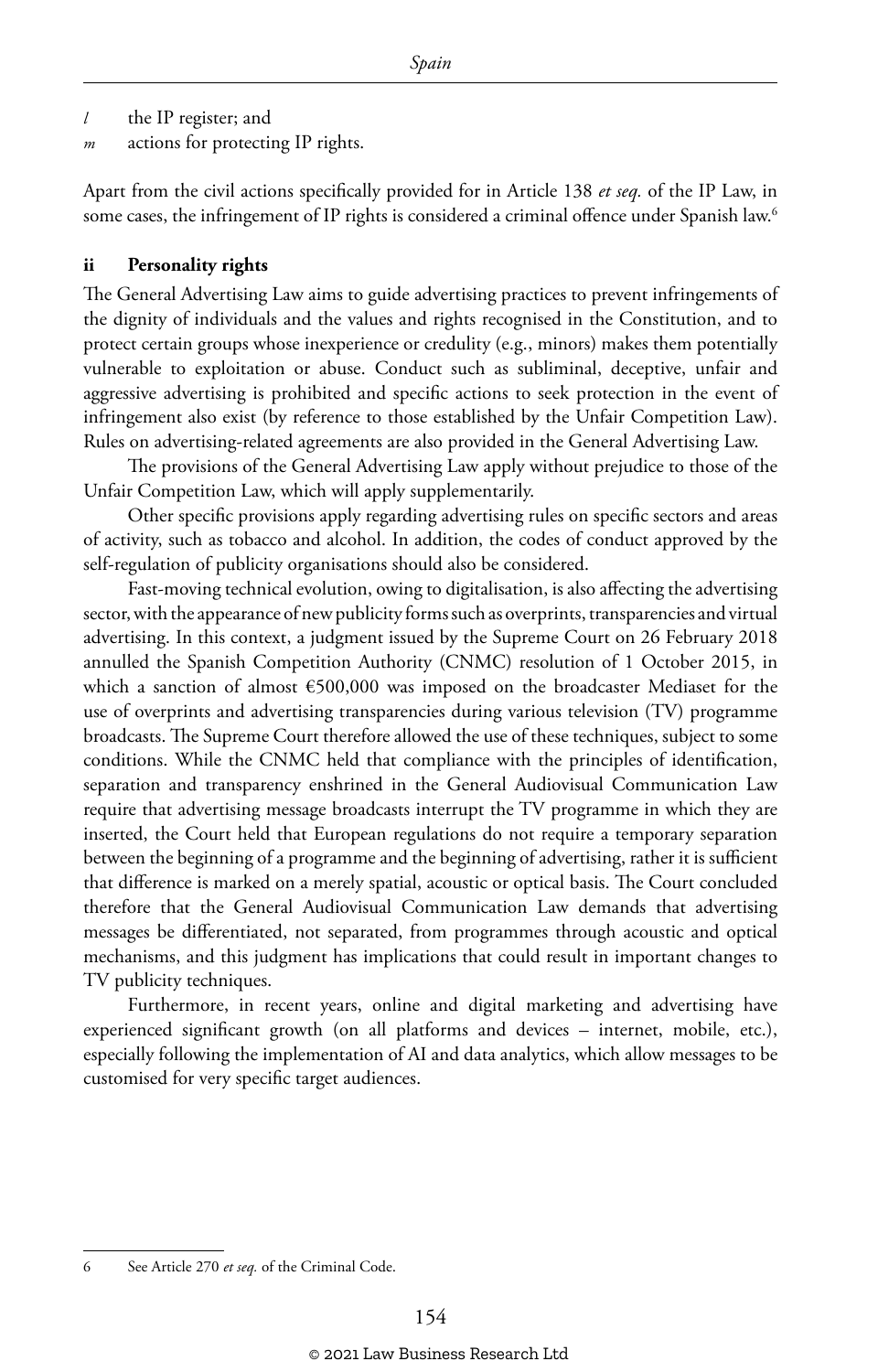- *l* the IP register; and
- *m* actions for protecting IP rights.

Apart from the civil actions specifically provided for in Article 138 *et seq.* of the IP Law, in some cases, the infringement of IP rights is considered a criminal offence under Spanish law.<sup>6</sup>

#### **ii Personality rights**

The General Advertising Law aims to guide advertising practices to prevent infringements of the dignity of individuals and the values and rights recognised in the Constitution, and to protect certain groups whose inexperience or credulity (e.g., minors) makes them potentially vulnerable to exploitation or abuse. Conduct such as subliminal, deceptive, unfair and aggressive advertising is prohibited and specific actions to seek protection in the event of infringement also exist (by reference to those established by the Unfair Competition Law). Rules on advertising-related agreements are also provided in the General Advertising Law.

The provisions of the General Advertising Law apply without prejudice to those of the Unfair Competition Law, which will apply supplementarily.

Other specific provisions apply regarding advertising rules on specific sectors and areas of activity, such as tobacco and alcohol. In addition, the codes of conduct approved by the self-regulation of publicity organisations should also be considered.

Fast-moving technical evolution, owing to digitalisation, is also affecting the advertising sector, with the appearance of new publicity forms such as overprints, transparencies and virtual advertising. In this context, a judgment issued by the Supreme Court on 26 February 2018 annulled the Spanish Competition Authority (CNMC) resolution of 1 October 2015, in which a sanction of almost  $\epsilon$ 500,000 was imposed on the broadcaster Mediaset for the use of overprints and advertising transparencies during various television (TV) programme broadcasts. The Supreme Court therefore allowed the use of these techniques, subject to some conditions. While the CNMC held that compliance with the principles of identification, separation and transparency enshrined in the General Audiovisual Communication Law require that advertising message broadcasts interrupt the TV programme in which they are inserted, the Court held that European regulations do not require a temporary separation between the beginning of a programme and the beginning of advertising, rather it is sufficient that difference is marked on a merely spatial, acoustic or optical basis. The Court concluded therefore that the General Audiovisual Communication Law demands that advertising messages be differentiated, not separated, from programmes through acoustic and optical mechanisms, and this judgment has implications that could result in important changes to TV publicity techniques.

Furthermore, in recent years, online and digital marketing and advertising have experienced significant growth (on all platforms and devices – internet, mobile, etc.), especially following the implementation of AI and data analytics, which allow messages to be customised for very specific target audiences.

6 See Article 270 *et seq.* of the Criminal Code.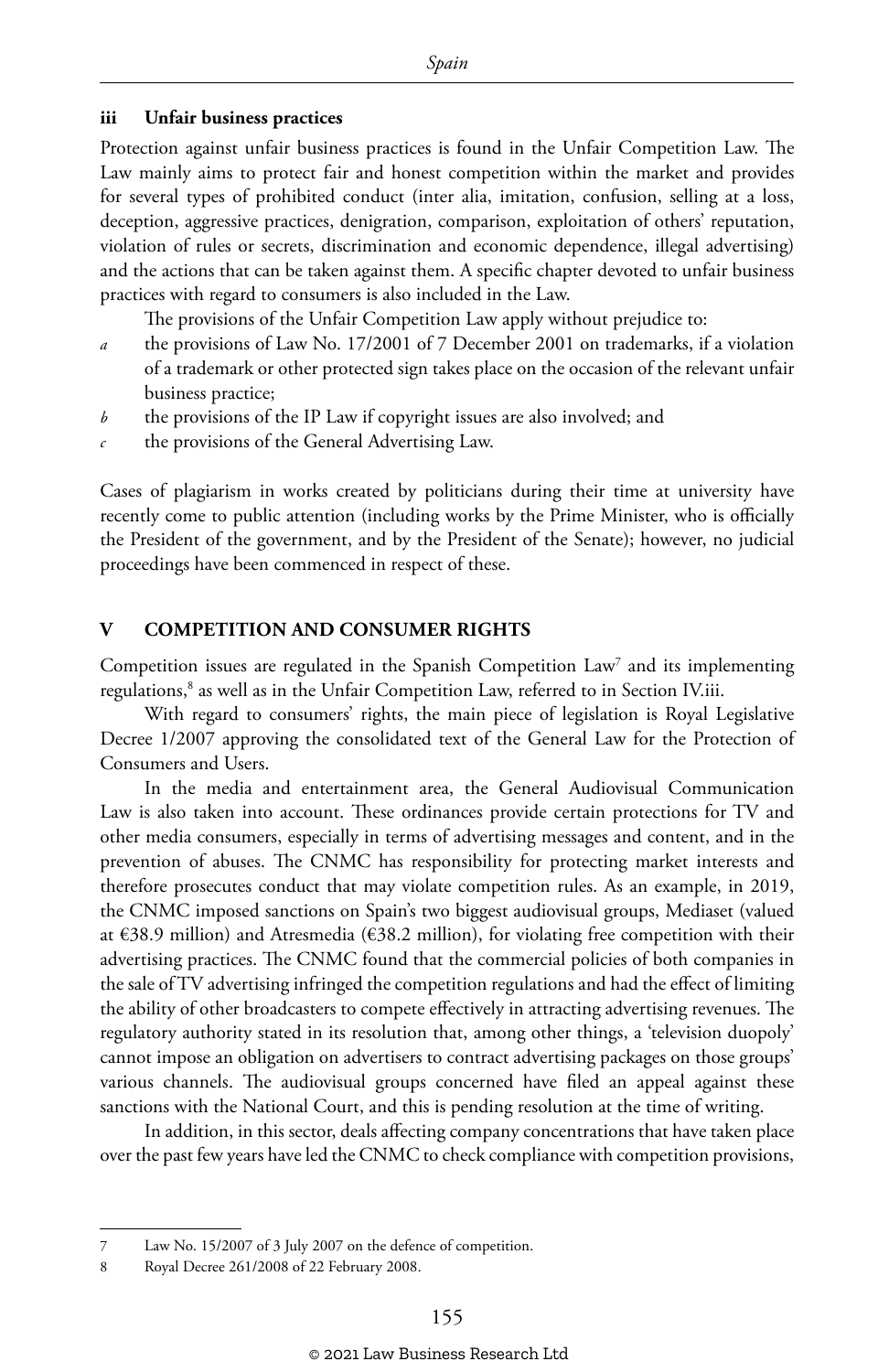#### **iii Unfair business practices**

Protection against unfair business practices is found in the Unfair Competition Law. The Law mainly aims to protect fair and honest competition within the market and provides for several types of prohibited conduct (inter alia, imitation, confusion, selling at a loss, deception, aggressive practices, denigration, comparison, exploitation of others' reputation, violation of rules or secrets, discrimination and economic dependence, illegal advertising) and the actions that can be taken against them. A specific chapter devoted to unfair business practices with regard to consumers is also included in the Law.

The provisions of the Unfair Competition Law apply without prejudice to:

- *a* the provisions of Law No. 17/2001 of 7 December 2001 on trademarks, if a violation of a trademark or other protected sign takes place on the occasion of the relevant unfair business practice;
- *b* the provisions of the IP Law if copyright issues are also involved; and
- *c* the provisions of the General Advertising Law.

Cases of plagiarism in works created by politicians during their time at university have recently come to public attention (including works by the Prime Minister, who is officially the President of the government, and by the President of the Senate); however, no judicial proceedings have been commenced in respect of these.

#### **V COMPETITION AND CONSUMER RIGHTS**

Competition issues are regulated in the Spanish Competition Law7 and its implementing regulations,8 as well as in the Unfair Competition Law, referred to in Section IV.iii.

With regard to consumers' rights, the main piece of legislation is Royal Legislative Decree 1/2007 approving the consolidated text of the General Law for the Protection of Consumers and Users.

In the media and entertainment area, the General Audiovisual Communication Law is also taken into account. These ordinances provide certain protections for TV and other media consumers, especially in terms of advertising messages and content, and in the prevention of abuses. The CNMC has responsibility for protecting market interests and therefore prosecutes conduct that may violate competition rules. As an example, in 2019, the CNMC imposed sanctions on Spain's two biggest audiovisual groups, Mediaset (valued at  $\epsilon$ 38.9 million) and Atresmedia ( $\epsilon$ 38.2 million), for violating free competition with their advertising practices. The CNMC found that the commercial policies of both companies in the sale of TV advertising infringed the competition regulations and had the effect of limiting the ability of other broadcasters to compete effectively in attracting advertising revenues. The regulatory authority stated in its resolution that, among other things, a 'television duopoly' cannot impose an obligation on advertisers to contract advertising packages on those groups' various channels. The audiovisual groups concerned have filed an appeal against these sanctions with the National Court, and this is pending resolution at the time of writing.

In addition, in this sector, deals affecting company concentrations that have taken place over the past few years have led the CNMC to check compliance with competition provisions,

<sup>7</sup> Law No. 15/2007 of 3 July 2007 on the defence of competition.

<sup>8</sup> Royal Decree 261/2008 of 22 February 2008.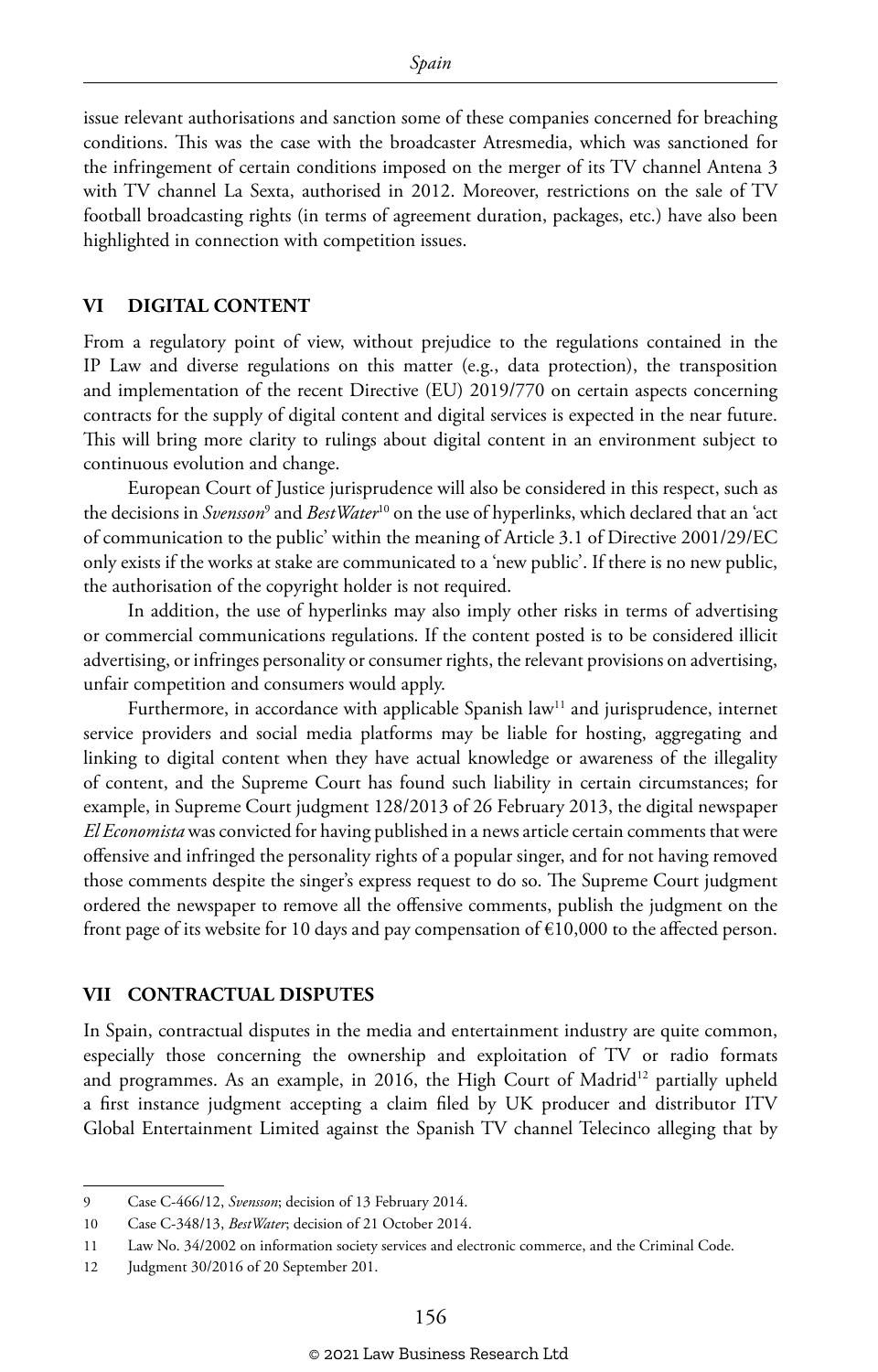issue relevant authorisations and sanction some of these companies concerned for breaching conditions. This was the case with the broadcaster Atresmedia, which was sanctioned for the infringement of certain conditions imposed on the merger of its TV channel Antena 3 with TV channel La Sexta, authorised in 2012. Moreover, restrictions on the sale of TV football broadcasting rights (in terms of agreement duration, packages, etc.) have also been highlighted in connection with competition issues.

#### **VI DIGITAL CONTENT**

From a regulatory point of view, without prejudice to the regulations contained in the IP Law and diverse regulations on this matter (e.g., data protection), the transposition and implementation of the recent Directive (EU) 2019/770 on certain aspects concerning contracts for the supply of digital content and digital services is expected in the near future. This will bring more clarity to rulings about digital content in an environment subject to continuous evolution and change.

European Court of Justice jurisprudence will also be considered in this respect, such as the decisions in *Svensson*<sup>9</sup> and *BestWater*10 on the use of hyperlinks, which declared that an 'act of communication to the public' within the meaning of Article 3.1 of Directive 2001/29/EC only exists if the works at stake are communicated to a 'new public'. If there is no new public, the authorisation of the copyright holder is not required.

In addition, the use of hyperlinks may also imply other risks in terms of advertising or commercial communications regulations. If the content posted is to be considered illicit advertising, or infringes personality or consumer rights, the relevant provisions on advertising, unfair competition and consumers would apply.

Furthermore, in accordance with applicable Spanish law<sup>11</sup> and jurisprudence, internet service providers and social media platforms may be liable for hosting, aggregating and linking to digital content when they have actual knowledge or awareness of the illegality of content, and the Supreme Court has found such liability in certain circumstances; for example, in Supreme Court judgment 128/2013 of 26 February 2013, the digital newspaper *El Economista* was convicted for having published in a news article certain comments that were offensive and infringed the personality rights of a popular singer, and for not having removed those comments despite the singer's express request to do so. The Supreme Court judgment ordered the newspaper to remove all the offensive comments, publish the judgment on the front page of its website for 10 days and pay compensation of  $\epsilon$ 10,000 to the affected person.

#### **VII CONTRACTUAL DISPUTES**

In Spain, contractual disputes in the media and entertainment industry are quite common, especially those concerning the ownership and exploitation of TV or radio formats and programmes. As an example, in 2016, the High Court of Madrid<sup>12</sup> partially upheld a first instance judgment accepting a claim filed by UK producer and distributor ITV Global Entertainment Limited against the Spanish TV channel Telecinco alleging that by

<sup>9</sup> Case C-466/12, *Svensson*; decision of 13 February 2014.

<sup>10</sup> Case C-348/13, *BestWater*; decision of 21 October 2014.

<sup>11</sup> Law No. 34/2002 on information society services and electronic commerce, and the Criminal Code.

<sup>12</sup> Judgment 30/2016 of 20 September 201.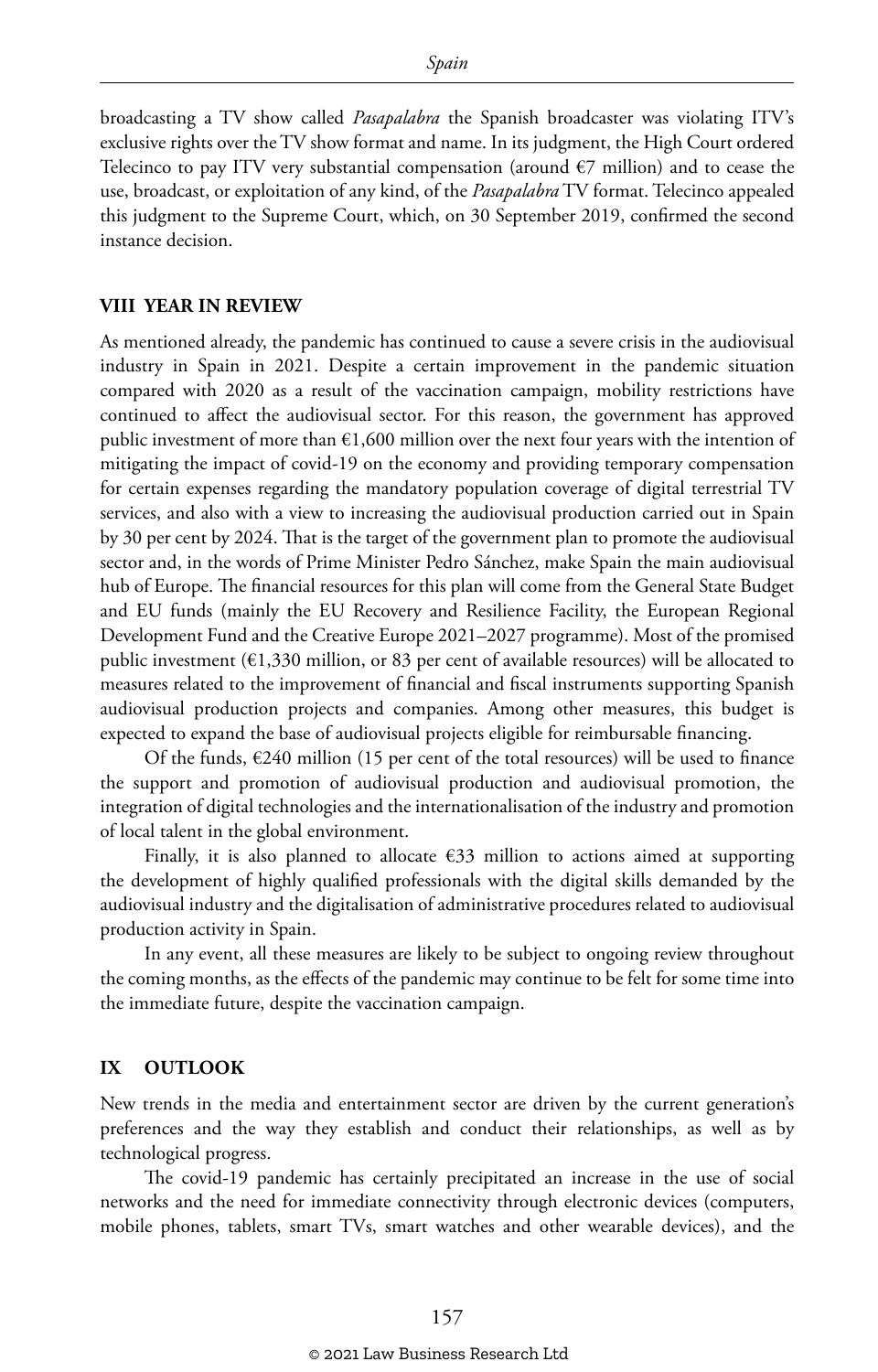broadcasting a TV show called *Pasapalabra* the Spanish broadcaster was violating ITV's exclusive rights over the TV show format and name. In its judgment, the High Court ordered Telecinco to pay ITV very substantial compensation (around  $\epsilon$ 7 million) and to cease the use, broadcast, or exploitation of any kind, of the *Pasapalabra* TV format. Telecinco appealed this judgment to the Supreme Court, which, on 30 September 2019, confirmed the second instance decision.

#### **VIII YEAR IN REVIEW**

As mentioned already, the pandemic has continued to cause a severe crisis in the audiovisual industry in Spain in 2021. Despite a certain improvement in the pandemic situation compared with 2020 as a result of the vaccination campaign, mobility restrictions have continued to affect the audiovisual sector. For this reason, the government has approved public investment of more than  $\epsilon$ 1,600 million over the next four years with the intention of mitigating the impact of covid-19 on the economy and providing temporary compensation for certain expenses regarding the mandatory population coverage of digital terrestrial TV services, and also with a view to increasing the audiovisual production carried out in Spain by 30 per cent by 2024. That is the target of the government plan to promote the audiovisual sector and, in the words of Prime Minister Pedro Sánchez, make Spain the main audiovisual hub of Europe. The financial resources for this plan will come from the General State Budget and EU funds (mainly the EU Recovery and Resilience Facility, the European Regional Development Fund and the Creative Europe 2021–2027 programme). Most of the promised public investment (€1,330 million, or 83 per cent of available resources) will be allocated to measures related to the improvement of financial and fiscal instruments supporting Spanish audiovisual production projects and companies. Among other measures, this budget is expected to expand the base of audiovisual projects eligible for reimbursable financing.

Of the funds,  $\epsilon$ 240 million (15 per cent of the total resources) will be used to finance the support and promotion of audiovisual production and audiovisual promotion, the integration of digital technologies and the internationalisation of the industry and promotion of local talent in the global environment.

Finally, it is also planned to allocate  $\epsilon$ 33 million to actions aimed at supporting the development of highly qualified professionals with the digital skills demanded by the audiovisual industry and the digitalisation of administrative procedures related to audiovisual production activity in Spain.

In any event, all these measures are likely to be subject to ongoing review throughout the coming months, as the effects of the pandemic may continue to be felt for some time into the immediate future, despite the vaccination campaign.

#### **IX OUTLOOK**

New trends in the media and entertainment sector are driven by the current generation's preferences and the way they establish and conduct their relationships, as well as by technological progress.

The covid-19 pandemic has certainly precipitated an increase in the use of social networks and the need for immediate connectivity through electronic devices (computers, mobile phones, tablets, smart TVs, smart watches and other wearable devices), and the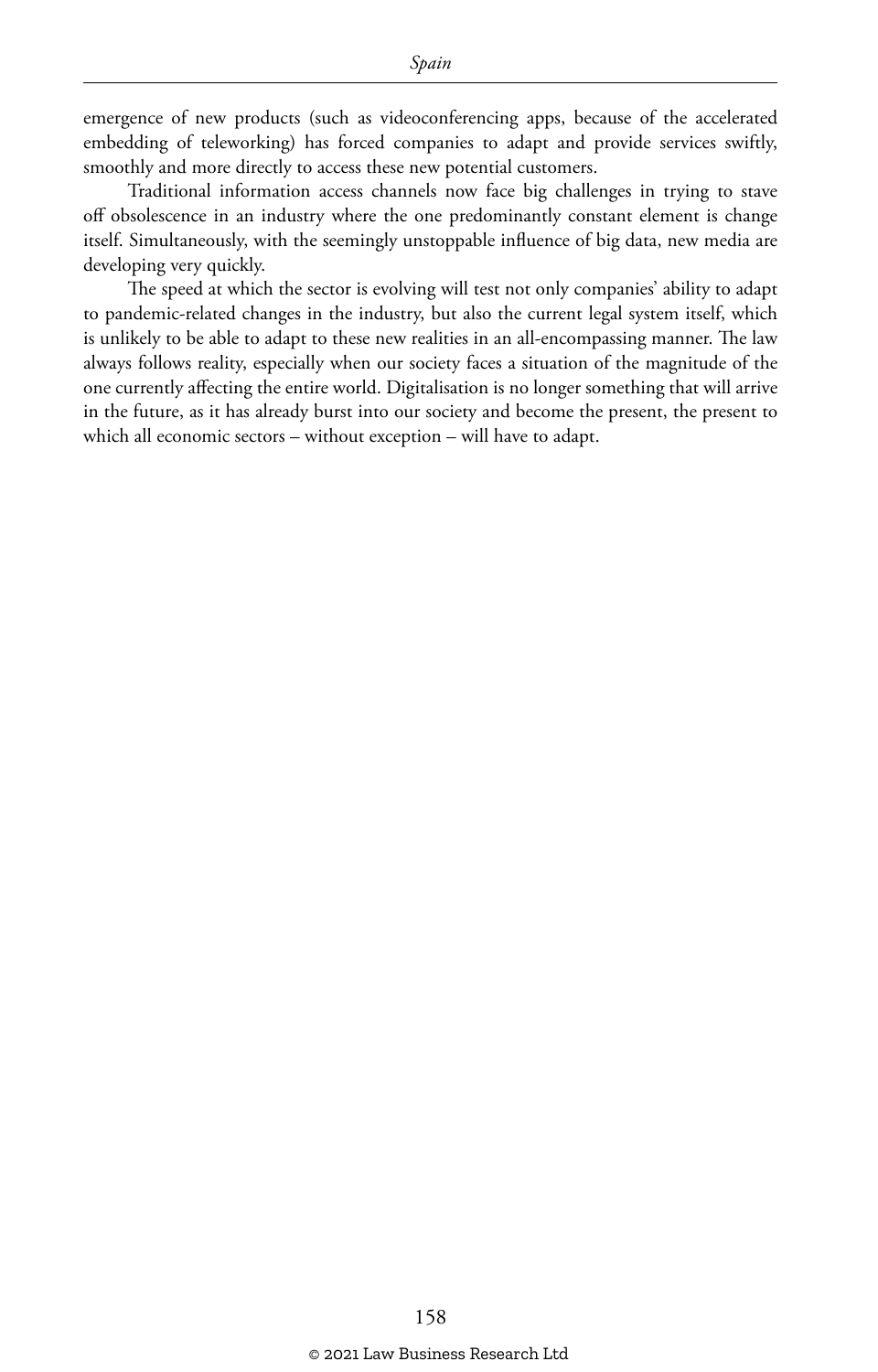emergence of new products (such as videoconferencing apps, because of the accelerated embedding of teleworking) has forced companies to adapt and provide services swiftly, smoothly and more directly to access these new potential customers.

Traditional information access channels now face big challenges in trying to stave off obsolescence in an industry where the one predominantly constant element is change itself. Simultaneously, with the seemingly unstoppable influence of big data, new media are developing very quickly.

The speed at which the sector is evolving will test not only companies' ability to adapt to pandemic-related changes in the industry, but also the current legal system itself, which is unlikely to be able to adapt to these new realities in an all-encompassing manner. The law always follows reality, especially when our society faces a situation of the magnitude of the one currently affecting the entire world. Digitalisation is no longer something that will arrive in the future, as it has already burst into our society and become the present, the present to which all economic sectors – without exception – will have to adapt.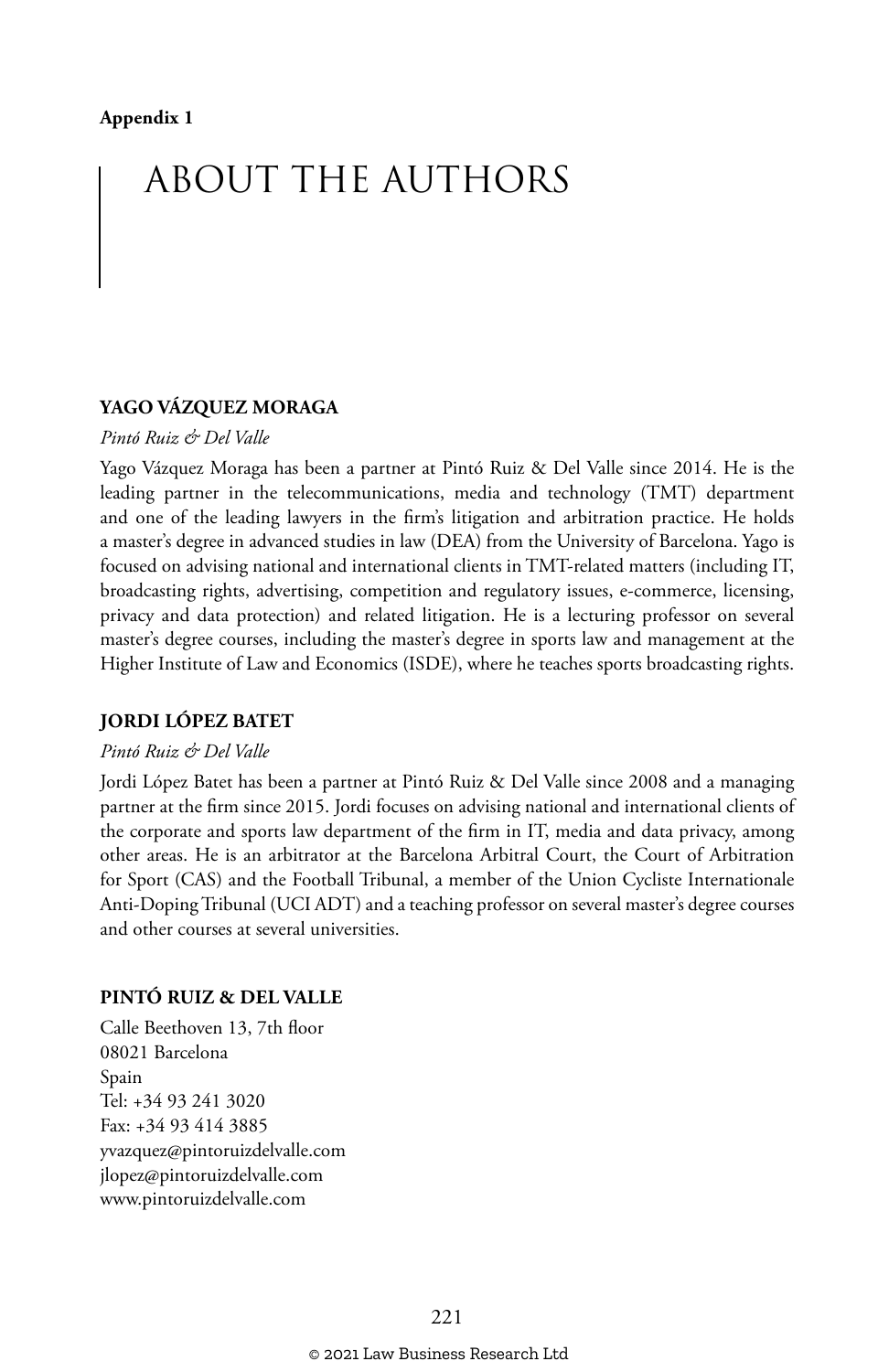## ABOUT THE AUTHORS

#### **YAGO VÁZQUEZ MORAGA**

#### *Pintó Ruiz & Del Valle*

Yago Vázquez Moraga has been a partner at Pintó Ruiz & Del Valle since 2014. He is the leading partner in the telecommunications, media and technology (TMT) department and one of the leading lawyers in the firm's litigation and arbitration practice. He holds a master's degree in advanced studies in law (DEA) from the University of Barcelona. Yago is focused on advising national and international clients in TMT-related matters (including IT, broadcasting rights, advertising, competition and regulatory issues, e-commerce, licensing, privacy and data protection) and related litigation. He is a lecturing professor on several master's degree courses, including the master's degree in sports law and management at the Higher Institute of Law and Economics (ISDE), where he teaches sports broadcasting rights.

#### **JORDI LÓPEZ BATET**

#### *Pintó Ruiz & Del Valle*

Jordi López Batet has been a partner at Pintó Ruiz & Del Valle since 2008 and a managing partner at the firm since 2015. Jordi focuses on advising national and international clients of the corporate and sports law department of the firm in IT, media and data privacy, among other areas. He is an arbitrator at the Barcelona Arbitral Court, the Court of Arbitration for Sport (CAS) and the Football Tribunal, a member of the Union Cycliste Internationale Anti-Doping Tribunal (UCI ADT) and a teaching professor on several master's degree courses and other courses at several universities.

#### **PINTÓ RUIZ & DEL VALLE**

Calle Beethoven 13, 7th floor 08021 Barcelona Spain Tel: +34 93 241 3020 Fax: +34 93 414 3885 yvazquez@pintoruizdelvalle.com jlopez@pintoruizdelvalle.com www.pintoruizdelvalle.com